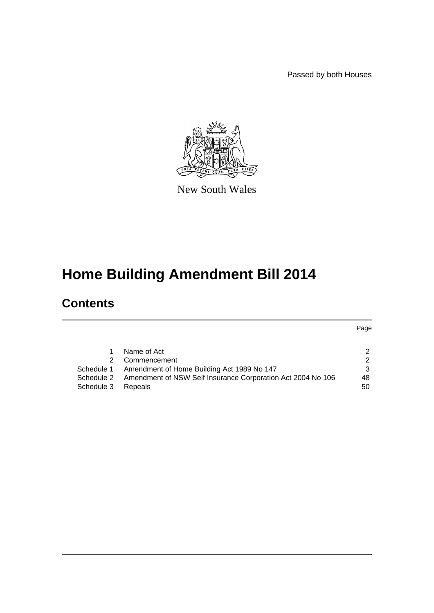Passed by both Houses



New South Wales

# **Home Building Amendment Bill 2014**

# **Contents**

| Name of Act | $\mathcal{P}$                                                                                                                                                           |
|-------------|-------------------------------------------------------------------------------------------------------------------------------------------------------------------------|
|             | $\mathcal{P}$                                                                                                                                                           |
|             | $\mathcal{B}$                                                                                                                                                           |
|             | 48                                                                                                                                                                      |
|             | 50                                                                                                                                                                      |
| 1           | 2 Commencement<br>Schedule 1 Amendment of Home Building Act 1989 No 147<br>Schedule 2 Amendment of NSW Self Insurance Corporation Act 2004 No 106<br>Schedule 3 Repeals |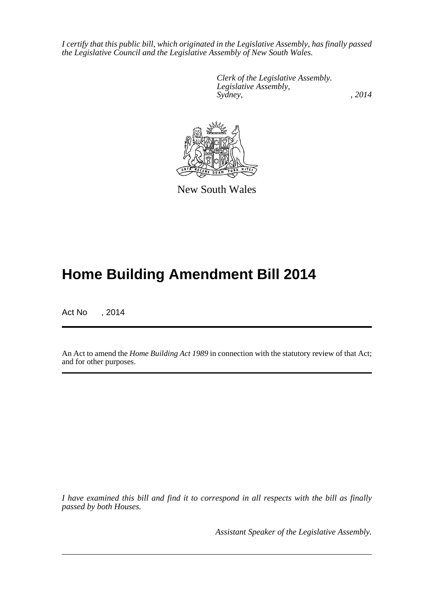*I certify that this public bill, which originated in the Legislative Assembly, has finally passed the Legislative Council and the Legislative Assembly of New South Wales.*

> *Clerk of the Legislative Assembly. Legislative Assembly, Sydney,* , 2014



New South Wales

# **Home Building Amendment Bill 2014**

Act No , 2014

An Act to amend the *Home Building Act 1989* in connection with the statutory review of that Act; and for other purposes.

*I have examined this bill and find it to correspond in all respects with the bill as finally passed by both Houses.*

*Assistant Speaker of the Legislative Assembly.*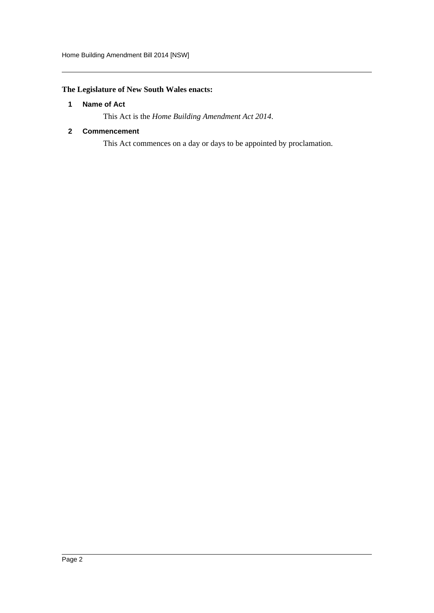## <span id="page-2-0"></span>**The Legislature of New South Wales enacts:**

#### **1 Name of Act**

This Act is the *Home Building Amendment Act 2014*.

#### <span id="page-2-1"></span>**2 Commencement**

This Act commences on a day or days to be appointed by proclamation.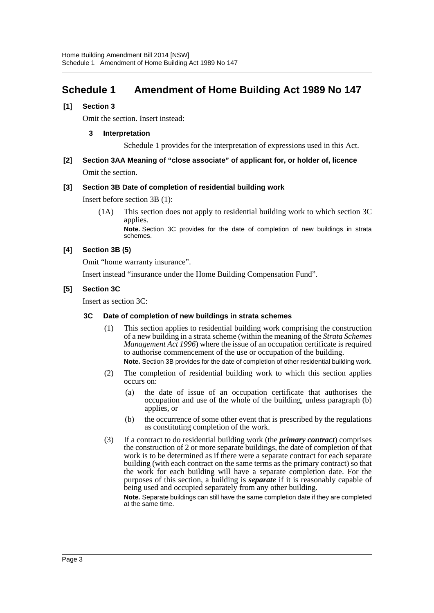# <span id="page-3-0"></span>**Schedule 1 Amendment of Home Building Act 1989 No 147**

#### **[1] Section 3**

Omit the section. Insert instead:

#### **3 Interpretation**

Schedule 1 provides for the interpretation of expressions used in this Act.

### **[2] Section 3AA Meaning of "close associate" of applicant for, or holder of, licence** Omit the section.

**[3] Section 3B Date of completion of residential building work**

Insert before section 3B (1):

(1A) This section does not apply to residential building work to which section 3C applies.

**Note.** Section 3C provides for the date of completion of new buildings in strata schemes.

#### **[4] Section 3B (5)**

Omit "home warranty insurance".

Insert instead "insurance under the Home Building Compensation Fund".

#### **[5] Section 3C**

Insert as section 3C:

#### **3C Date of completion of new buildings in strata schemes**

- (1) This section applies to residential building work comprising the construction of a new building in a strata scheme (within the meaning of the *Strata Schemes Management Act 1996*) where the issue of an occupation certificate is required to authorise commencement of the use or occupation of the building. **Note.** Section 3B provides for the date of completion of other residential building work.
	-
- (2) The completion of residential building work to which this section applies occurs on:
	- (a) the date of issue of an occupation certificate that authorises the occupation and use of the whole of the building, unless paragraph (b) applies, or
	- (b) the occurrence of some other event that is prescribed by the regulations as constituting completion of the work.
- (3) If a contract to do residential building work (the *primary contract*) comprises the construction of 2 or more separate buildings, the date of completion of that work is to be determined as if there were a separate contract for each separate building (with each contract on the same terms as the primary contract) so that the work for each building will have a separate completion date. For the purposes of this section, a building is *separate* if it is reasonably capable of being used and occupied separately from any other building.

**Note.** Separate buildings can still have the same completion date if they are completed at the same time.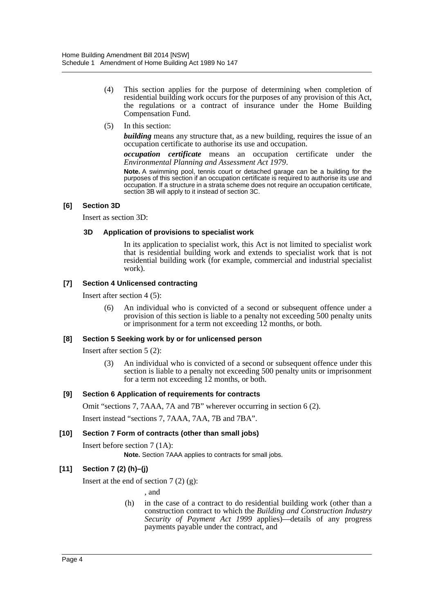- (4) This section applies for the purpose of determining when completion of residential building work occurs for the purposes of any provision of this Act, the regulations or a contract of insurance under the Home Building Compensation Fund.
- (5) In this section:

*building* means any structure that, as a new building, requires the issue of an occupation certificate to authorise its use and occupation.

*occupation certificate* means an occupation certificate under the *Environmental Planning and Assessment Act 1979*.

**Note.** A swimming pool, tennis court or detached garage can be a building for the purposes of this section if an occupation certificate is required to authorise its use and occupation. If a structure in a strata scheme does not require an occupation certificate, section 3B will apply to it instead of section 3C.

#### **[6] Section 3D**

Insert as section 3D:

#### **3D Application of provisions to specialist work**

In its application to specialist work, this Act is not limited to specialist work that is residential building work and extends to specialist work that is not residential building work (for example, commercial and industrial specialist work).

#### **[7] Section 4 Unlicensed contracting**

Insert after section 4 (5):

(6) An individual who is convicted of a second or subsequent offence under a provision of this section is liable to a penalty not exceeding 500 penalty units or imprisonment for a term not exceeding 12 months, or both.

#### **[8] Section 5 Seeking work by or for unlicensed person**

Insert after section 5 (2):

(3) An individual who is convicted of a second or subsequent offence under this section is liable to a penalty not exceeding 500 penalty units or imprisonment for a term not exceeding 12 months, or both.

#### **[9] Section 6 Application of requirements for contracts**

Omit "sections 7, 7AAA, 7A and 7B" wherever occurring in section 6 (2).

Insert instead "sections 7, 7AAA, 7AA, 7B and 7BA".

#### **[10] Section 7 Form of contracts (other than small jobs)**

Insert before section 7 (1A):

**Note.** Section 7AAA applies to contracts for small jobs.

#### **[11] Section 7 (2) (h)–(j)**

Insert at the end of section  $7(2)(g)$ :

, and

(h) in the case of a contract to do residential building work (other than a construction contract to which the *Building and Construction Industry Security of Payment Act 1999* applies)—details of any progress payments payable under the contract, and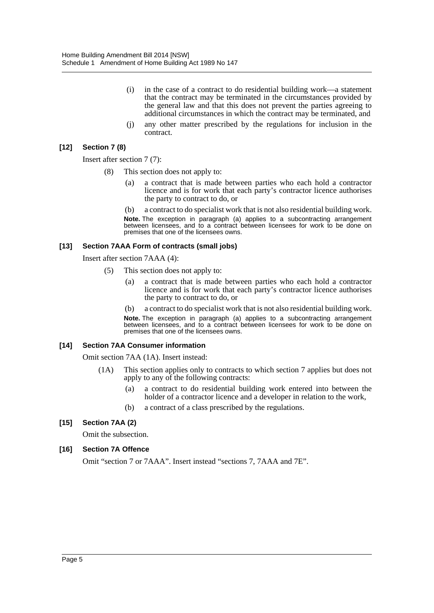- (i) in the case of a contract to do residential building work—a statement that the contract may be terminated in the circumstances provided by the general law and that this does not prevent the parties agreeing to additional circumstances in which the contract may be terminated, and
- (j) any other matter prescribed by the regulations for inclusion in the contract.

#### **[12] Section 7 (8)**

Insert after section 7 (7):

- (8) This section does not apply to:
	- (a) a contract that is made between parties who each hold a contractor licence and is for work that each party's contractor licence authorises the party to contract to do, or
	- (b) a contract to do specialist work that is not also residential building work. **Note.** The exception in paragraph (a) applies to a subcontracting arrangement between licensees, and to a contract between licensees for work to be done on premises that one of the licensees owns.

#### **[13] Section 7AAA Form of contracts (small jobs)**

Insert after section 7AAA (4):

- (5) This section does not apply to:
	- (a) a contract that is made between parties who each hold a contractor licence and is for work that each party's contractor licence authorises the party to contract to do, or
	- (b) a contract to do specialist work that is not also residential building work.

**Note.** The exception in paragraph (a) applies to a subcontracting arrangement between licensees, and to a contract between licensees for work to be done on premises that one of the licensees owns.

#### **[14] Section 7AA Consumer information**

Omit section 7AA (1A). Insert instead:

- (1A) This section applies only to contracts to which section 7 applies but does not apply to any of the following contracts:
	- (a) a contract to do residential building work entered into between the holder of a contractor licence and a developer in relation to the work,
	- (b) a contract of a class prescribed by the regulations.

#### **[15] Section 7AA (2)**

Omit the subsection.

#### **[16] Section 7A Offence**

Omit "section 7 or 7AAA". Insert instead "sections 7, 7AAA and 7E".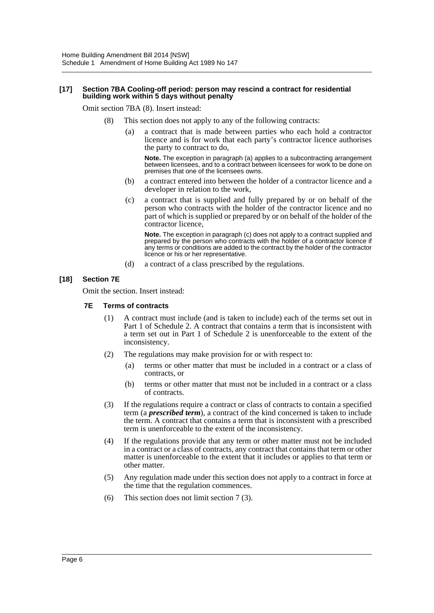#### **[17] Section 7BA Cooling-off period: person may rescind a contract for residential building work within 5 days without penalty**

Omit section 7BA (8). Insert instead:

- (8) This section does not apply to any of the following contracts:
	- (a) a contract that is made between parties who each hold a contractor licence and is for work that each party's contractor licence authorises the party to contract to do,

**Note.** The exception in paragraph (a) applies to a subcontracting arrangement between licensees, and to a contract between licensees for work to be done on premises that one of the licensees owns.

- (b) a contract entered into between the holder of a contractor licence and a developer in relation to the work,
- (c) a contract that is supplied and fully prepared by or on behalf of the person who contracts with the holder of the contractor licence and no part of which is supplied or prepared by or on behalf of the holder of the contractor licence,

**Note.** The exception in paragraph (c) does not apply to a contract supplied and prepared by the person who contracts with the holder of a contractor licence if any terms or conditions are added to the contract by the holder of the contractor licence or his or her representative.

(d) a contract of a class prescribed by the regulations.

#### **[18] Section 7E**

Omit the section. Insert instead:

#### **7E Terms of contracts**

- (1) A contract must include (and is taken to include) each of the terms set out in Part 1 of Schedule 2. A contract that contains a term that is inconsistent with a term set out in Part 1 of Schedule 2 is unenforceable to the extent of the inconsistency.
- (2) The regulations may make provision for or with respect to:
	- (a) terms or other matter that must be included in a contract or a class of contracts, or
	- (b) terms or other matter that must not be included in a contract or a class of contracts.
- (3) If the regulations require a contract or class of contracts to contain a specified term (a *prescribed term*), a contract of the kind concerned is taken to include the term. A contract that contains a term that is inconsistent with a prescribed term is unenforceable to the extent of the inconsistency.
- (4) If the regulations provide that any term or other matter must not be included in a contract or a class of contracts, any contract that contains that term or other matter is unenforceable to the extent that it includes or applies to that term or other matter.
- (5) Any regulation made under this section does not apply to a contract in force at the time that the regulation commences.
- (6) This section does not limit section 7 (3).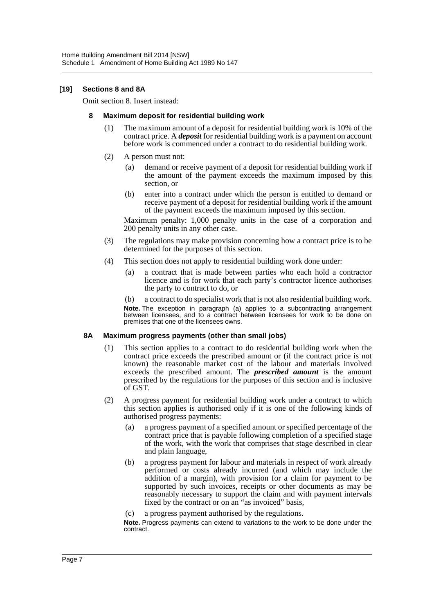#### **[19] Sections 8 and 8A**

Omit section 8. Insert instead:

#### **8 Maximum deposit for residential building work**

- (1) The maximum amount of a deposit for residential building work is 10% of the contract price. A *deposit* for residential building work is a payment on account before work is commenced under a contract to do residential building work.
- (2) A person must not:
	- (a) demand or receive payment of a deposit for residential building work if the amount of the payment exceeds the maximum imposed by this section, or
	- (b) enter into a contract under which the person is entitled to demand or receive payment of a deposit for residential building work if the amount of the payment exceeds the maximum imposed by this section.

Maximum penalty: 1,000 penalty units in the case of a corporation and 200 penalty units in any other case.

- (3) The regulations may make provision concerning how a contract price is to be determined for the purposes of this section.
- (4) This section does not apply to residential building work done under:
	- (a) a contract that is made between parties who each hold a contractor licence and is for work that each party's contractor licence authorises the party to contract to do, or
	- (b) a contract to do specialist work that is not also residential building work.

**Note.** The exception in paragraph (a) applies to a subcontracting arrangement between licensees, and to a contract between licensees for work to be done on premises that one of the licensees owns.

#### **8A Maximum progress payments (other than small jobs)**

- (1) This section applies to a contract to do residential building work when the contract price exceeds the prescribed amount or (if the contract price is not known) the reasonable market cost of the labour and materials involved exceeds the prescribed amount. The *prescribed amount* is the amount prescribed by the regulations for the purposes of this section and is inclusive of GST.
- (2) A progress payment for residential building work under a contract to which this section applies is authorised only if it is one of the following kinds of authorised progress payments:
	- (a) a progress payment of a specified amount or specified percentage of the contract price that is payable following completion of a specified stage of the work, with the work that comprises that stage described in clear and plain language,
	- (b) a progress payment for labour and materials in respect of work already performed or costs already incurred (and which may include the addition of a margin), with provision for a claim for payment to be supported by such invoices, receipts or other documents as may be reasonably necessary to support the claim and with payment intervals fixed by the contract or on an "as invoiced" basis,
	- (c) a progress payment authorised by the regulations.

**Note.** Progress payments can extend to variations to the work to be done under the contract.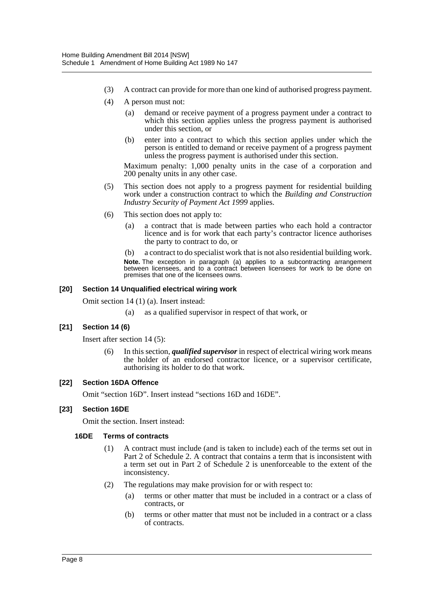- (3) A contract can provide for more than one kind of authorised progress payment.
- (4) A person must not:
	- (a) demand or receive payment of a progress payment under a contract to which this section applies unless the progress payment is authorised under this section, or
	- (b) enter into a contract to which this section applies under which the person is entitled to demand or receive payment of a progress payment unless the progress payment is authorised under this section.

Maximum penalty: 1,000 penalty units in the case of a corporation and 200 penalty units in any other case.

- (5) This section does not apply to a progress payment for residential building work under a construction contract to which the *Building and Construction Industry Security of Payment Act 1999* applies.
- (6) This section does not apply to:
	- (a) a contract that is made between parties who each hold a contractor licence and is for work that each party's contractor licence authorises the party to contract to do, or

(b) a contract to do specialist work that is not also residential building work. **Note.** The exception in paragraph (a) applies to a subcontracting arrangement between licensees, and to a contract between licensees for work to be done on premises that one of the licensees owns.

#### **[20] Section 14 Unqualified electrical wiring work**

Omit section 14 (1) (a). Insert instead:

(a) as a qualified supervisor in respect of that work, or

#### **[21] Section 14 (6)**

Insert after section 14 (5):

(6) In this section, *qualified supervisor* in respect of electrical wiring work means the holder of an endorsed contractor licence, or a supervisor certificate, authorising its holder to do that work.

#### **[22] Section 16DA Offence**

Omit "section 16D". Insert instead "sections 16D and 16DE".

#### **[23] Section 16DE**

Omit the section. Insert instead:

#### **16DE Terms of contracts**

- (1) A contract must include (and is taken to include) each of the terms set out in Part 2 of Schedule 2. A contract that contains a term that is inconsistent with a term set out in Part 2 of Schedule 2 is unenforceable to the extent of the inconsistency.
- (2) The regulations may make provision for or with respect to:
	- (a) terms or other matter that must be included in a contract or a class of contracts, or
	- (b) terms or other matter that must not be included in a contract or a class of contracts.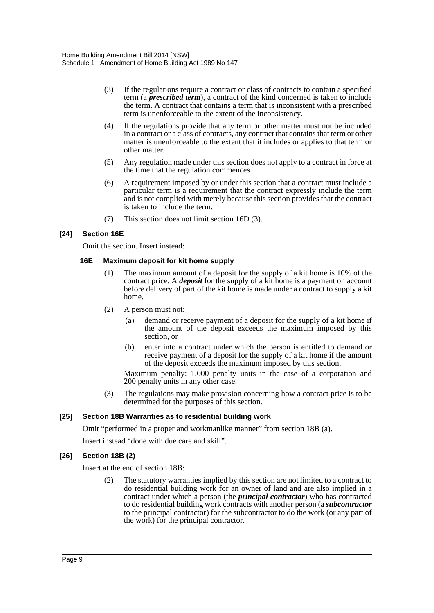- (3) If the regulations require a contract or class of contracts to contain a specified term (a *prescribed term*), a contract of the kind concerned is taken to include the term. A contract that contains a term that is inconsistent with a prescribed term is unenforceable to the extent of the inconsistency.
- (4) If the regulations provide that any term or other matter must not be included in a contract or a class of contracts, any contract that contains that term or other matter is unenforceable to the extent that it includes or applies to that term or other matter.
- (5) Any regulation made under this section does not apply to a contract in force at the time that the regulation commences.
- (6) A requirement imposed by or under this section that a contract must include a particular term is a requirement that the contract expressly include the term and is not complied with merely because this section provides that the contract is taken to include the term.
- (7) This section does not limit section 16D (3).

#### **[24] Section 16E**

Omit the section. Insert instead:

#### **16E Maximum deposit for kit home supply**

- (1) The maximum amount of a deposit for the supply of a kit home is 10% of the contract price. A *deposit* for the supply of a kit home is a payment on account before delivery of part of the kit home is made under a contract to supply a kit home.
- (2) A person must not:
	- (a) demand or receive payment of a deposit for the supply of a kit home if the amount of the deposit exceeds the maximum imposed by this section, or
	- (b) enter into a contract under which the person is entitled to demand or receive payment of a deposit for the supply of a kit home if the amount of the deposit exceeds the maximum imposed by this section.

Maximum penalty: 1,000 penalty units in the case of a corporation and 200 penalty units in any other case.

(3) The regulations may make provision concerning how a contract price is to be determined for the purposes of this section.

#### **[25] Section 18B Warranties as to residential building work**

Omit "performed in a proper and workmanlike manner" from section 18B (a).

Insert instead "done with due care and skill".

#### **[26] Section 18B (2)**

Insert at the end of section 18B:

(2) The statutory warranties implied by this section are not limited to a contract to do residential building work for an owner of land and are also implied in a contract under which a person (the *principal contractor*) who has contracted to do residential building work contracts with another person (a *subcontractor* to the principal contractor) for the subcontractor to do the work (or any part of the work) for the principal contractor.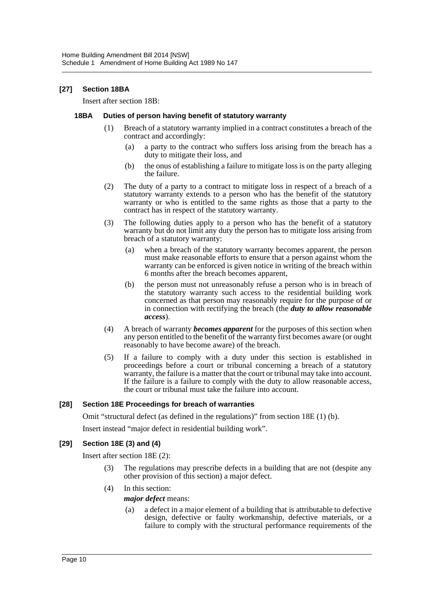#### **[27] Section 18BA**

Insert after section 18B:

#### **18BA Duties of person having benefit of statutory warranty**

- (1) Breach of a statutory warranty implied in a contract constitutes a breach of the contract and accordingly:
	- (a) a party to the contract who suffers loss arising from the breach has a duty to mitigate their loss, and
	- (b) the onus of establishing a failure to mitigate loss is on the party alleging the failure.
- (2) The duty of a party to a contract to mitigate loss in respect of a breach of a statutory warranty extends to a person who has the benefit of the statutory warranty or who is entitled to the same rights as those that a party to the contract has in respect of the statutory warranty.
- (3) The following duties apply to a person who has the benefit of a statutory warranty but do not limit any duty the person has to mitigate loss arising from breach of a statutory warranty:
	- (a) when a breach of the statutory warranty becomes apparent, the person must make reasonable efforts to ensure that a person against whom the warranty can be enforced is given notice in writing of the breach within 6 months after the breach becomes apparent,
	- (b) the person must not unreasonably refuse a person who is in breach of the statutory warranty such access to the residential building work concerned as that person may reasonably require for the purpose of or in connection with rectifying the breach (the *duty to allow reasonable access*).
- (4) A breach of warranty *becomes apparent* for the purposes of this section when any person entitled to the benefit of the warranty first becomes aware (or ought reasonably to have become aware) of the breach.
- (5) If a failure to comply with a duty under this section is established in proceedings before a court or tribunal concerning a breach of a statutory warranty, the failure is a matter that the court or tribunal may take into account. If the failure is a failure to comply with the duty to allow reasonable access, the court or tribunal must take the failure into account.

#### **[28] Section 18E Proceedings for breach of warranties**

Omit "structural defect (as defined in the regulations)" from section 18E (1) (b).

Insert instead "major defect in residential building work".

#### **[29] Section 18E (3) and (4)**

Insert after section 18E (2):

- (3) The regulations may prescribe defects in a building that are not (despite any other provision of this section) a major defect.
- (4) In this section:

#### *major defect* means:

(a) a defect in a major element of a building that is attributable to defective design, defective or faulty workmanship, defective materials, or a failure to comply with the structural performance requirements of the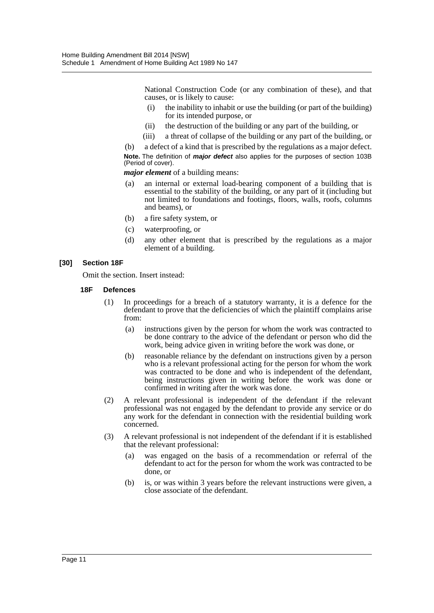National Construction Code (or any combination of these), and that causes, or is likely to cause:

- (i) the inability to inhabit or use the building (or part of the building) for its intended purpose, or
- (ii) the destruction of the building or any part of the building, or
- (iii) a threat of collapse of the building or any part of the building, or

(b) a defect of a kind that is prescribed by the regulations as a major defect. **Note.** The definition of *major defect* also applies for the purposes of section 103B (Period of cover).

*major element* of a building means:

- (a) an internal or external load-bearing component of a building that is essential to the stability of the building, or any part of it (including but not limited to foundations and footings, floors, walls, roofs, columns and beams), or
- (b) a fire safety system, or
- (c) waterproofing, or
- (d) any other element that is prescribed by the regulations as a major element of a building.

#### **[30] Section 18F**

Omit the section. Insert instead:

#### **18F Defences**

- (1) In proceedings for a breach of a statutory warranty, it is a defence for the defendant to prove that the deficiencies of which the plaintiff complains arise from:
	- (a) instructions given by the person for whom the work was contracted to be done contrary to the advice of the defendant or person who did the work, being advice given in writing before the work was done, or
	- (b) reasonable reliance by the defendant on instructions given by a person who is a relevant professional acting for the person for whom the work was contracted to be done and who is independent of the defendant, being instructions given in writing before the work was done or confirmed in writing after the work was done.
- (2) A relevant professional is independent of the defendant if the relevant professional was not engaged by the defendant to provide any service or do any work for the defendant in connection with the residential building work concerned.
- (3) A relevant professional is not independent of the defendant if it is established that the relevant professional:
	- (a) was engaged on the basis of a recommendation or referral of the defendant to act for the person for whom the work was contracted to be done, or
	- (b) is, or was within 3 years before the relevant instructions were given, a close associate of the defendant.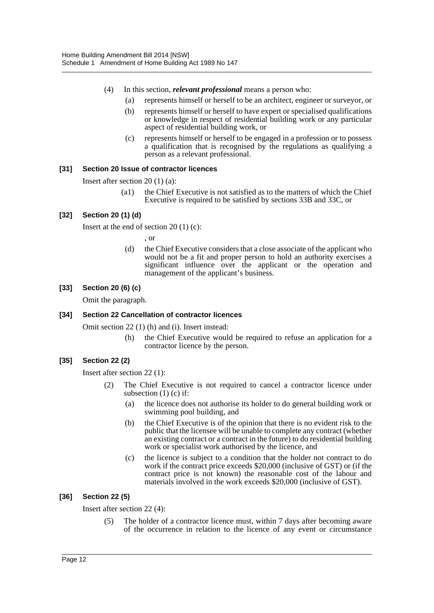- (4) In this section, *relevant professional* means a person who:
	- (a) represents himself or herself to be an architect, engineer or surveyor, or
	- (b) represents himself or herself to have expert or specialised qualifications or knowledge in respect of residential building work or any particular aspect of residential building work, or
	- (c) represents himself or herself to be engaged in a profession or to possess a qualification that is recognised by the regulations as qualifying a person as a relevant professional.

#### **[31] Section 20 Issue of contractor licences**

Insert after section 20 (1) (a):

(a1) the Chief Executive is not satisfied as to the matters of which the Chief Executive is required to be satisfied by sections 33B and 33C, or

#### **[32] Section 20 (1) (d)**

Insert at the end of section  $20(1)(c)$ :

, or

(d) the Chief Executive considers that a close associate of the applicant who would not be a fit and proper person to hold an authority exercises a significant influence over the applicant or the operation and management of the applicant's business.

#### **[33] Section 20 (6) (c)**

Omit the paragraph.

#### **[34] Section 22 Cancellation of contractor licences**

Omit section 22 (1) (h) and (i). Insert instead:

(h) the Chief Executive would be required to refuse an application for a contractor licence by the person.

#### **[35] Section 22 (2)**

Insert after section 22 (1):

- (2) The Chief Executive is not required to cancel a contractor licence under subsection  $(1)$  (c) if:
	- (a) the licence does not authorise its holder to do general building work or swimming pool building, and
	- (b) the Chief Executive is of the opinion that there is no evident risk to the public that the licensee will be unable to complete any contract (whether an existing contract or a contract in the future) to do residential building work or specialist work authorised by the licence, and
	- (c) the licence is subject to a condition that the holder not contract to do work if the contract price exceeds \$20,000 (inclusive of GST) or (if the contract price is not known) the reasonable cost of the labour and materials involved in the work exceeds \$20,000 (inclusive of GST).

#### **[36] Section 22 (5)**

Insert after section 22 (4):

(5) The holder of a contractor licence must, within 7 days after becoming aware of the occurrence in relation to the licence of any event or circumstance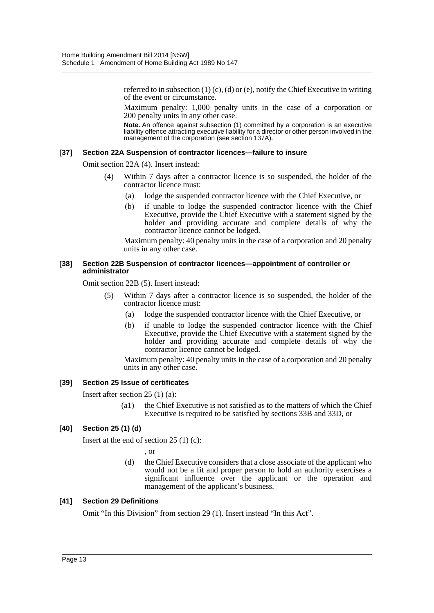referred to in subsection  $(1)$   $(c)$ ,  $(d)$  or  $(e)$ , notify the Chief Executive in writing of the event or circumstance.

Maximum penalty: 1,000 penalty units in the case of a corporation or 200 penalty units in any other case.

**Note.** An offence against subsection (1) committed by a corporation is an executive liability offence attracting executive liability for a director or other person involved in the management of the corporation (see section 137A).

#### **[37] Section 22A Suspension of contractor licences—failure to insure**

Omit section 22A (4). Insert instead:

- (4) Within 7 days after a contractor licence is so suspended, the holder of the contractor licence must:
	- (a) lodge the suspended contractor licence with the Chief Executive, or
	- (b) if unable to lodge the suspended contractor licence with the Chief Executive, provide the Chief Executive with a statement signed by the holder and providing accurate and complete details of why the contractor licence cannot be lodged.

Maximum penalty: 40 penalty units in the case of a corporation and 20 penalty units in any other case.

#### **[38] Section 22B Suspension of contractor licences—appointment of controller or administrator**

Omit section 22B (5). Insert instead:

- (5) Within 7 days after a contractor licence is so suspended, the holder of the contractor licence must:
	- (a) lodge the suspended contractor licence with the Chief Executive, or
	- (b) if unable to lodge the suspended contractor licence with the Chief Executive, provide the Chief Executive with a statement signed by the holder and providing accurate and complete details of why the contractor licence cannot be lodged.

Maximum penalty: 40 penalty units in the case of a corporation and 20 penalty units in any other case.

#### **[39] Section 25 Issue of certificates**

Insert after section 25 (1) (a):

(a1) the Chief Executive is not satisfied as to the matters of which the Chief Executive is required to be satisfied by sections 33B and 33D, or

#### **[40] Section 25 (1) (d)**

Insert at the end of section 25 (1) (c):

, or

(d) the Chief Executive considers that a close associate of the applicant who would not be a fit and proper person to hold an authority exercises a significant influence over the applicant or the operation and management of the applicant's business.

#### **[41] Section 29 Definitions**

Omit "In this Division" from section 29 (1). Insert instead "In this Act".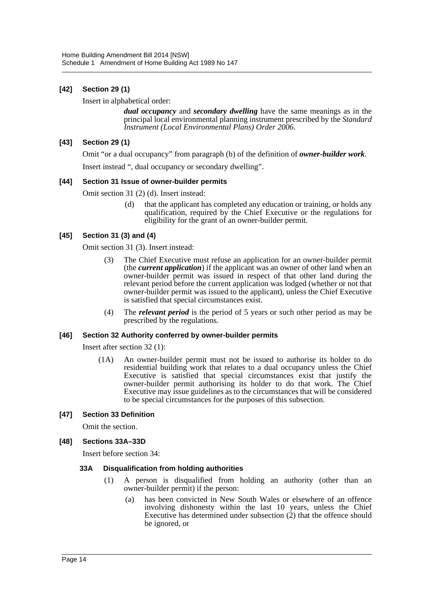#### **[42] Section 29 (1)**

Insert in alphabetical order:

*dual occupancy* and *secondary dwelling* have the same meanings as in the principal local environmental planning instrument prescribed by the *Standard Instrument (Local Environmental Plans) Order 2006*.

#### **[43] Section 29 (1)**

Omit "or a dual occupancy" from paragraph (b) of the definition of *owner-builder work*.

Insert instead ", dual occupancy or secondary dwelling".

#### **[44] Section 31 Issue of owner-builder permits**

Omit section 31 (2) (d). Insert instead:

(d) that the applicant has completed any education or training, or holds any qualification, required by the Chief Executive or the regulations for eligibility for the grant of an owner-builder permit.

#### **[45] Section 31 (3) and (4)**

Omit section 31 (3). Insert instead:

- (3) The Chief Executive must refuse an application for an owner-builder permit (the *current application*) if the applicant was an owner of other land when an owner-builder permit was issued in respect of that other land during the relevant period before the current application was lodged (whether or not that owner-builder permit was issued to the applicant), unless the Chief Executive is satisfied that special circumstances exist.
- (4) The *relevant period* is the period of 5 years or such other period as may be prescribed by the regulations.

#### **[46] Section 32 Authority conferred by owner-builder permits**

Insert after section 32 (1):

(1A) An owner-builder permit must not be issued to authorise its holder to do residential building work that relates to a dual occupancy unless the Chief Executive is satisfied that special circumstances exist that justify the owner-builder permit authorising its holder to do that work. The Chief Executive may issue guidelines as to the circumstances that will be considered to be special circumstances for the purposes of this subsection.

#### **[47] Section 33 Definition**

Omit the section.

#### **[48] Sections 33A–33D**

Insert before section 34:

#### **33A Disqualification from holding authorities**

- (1) A person is disqualified from holding an authority (other than an owner-builder permit) if the person:
	- (a) has been convicted in New South Wales or elsewhere of an offence involving dishonesty within the last 10 years, unless the Chief Executive has determined under subsection (2) that the offence should be ignored, or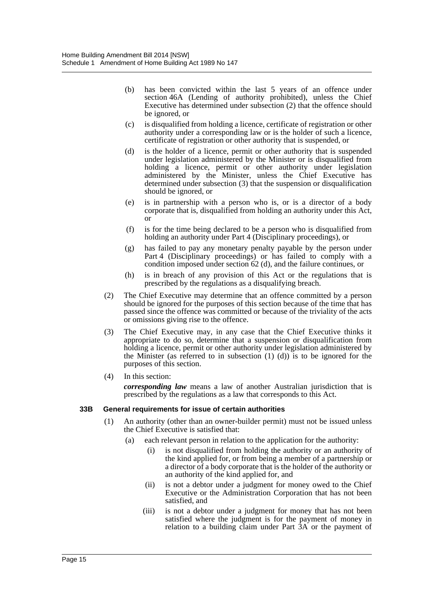- (b) has been convicted within the last 5 years of an offence under section 46A (Lending of authority prohibited), unless the Chief Executive has determined under subsection (2) that the offence should be ignored, or
- (c) is disqualified from holding a licence, certificate of registration or other authority under a corresponding law or is the holder of such a licence, certificate of registration or other authority that is suspended, or
- (d) is the holder of a licence, permit or other authority that is suspended under legislation administered by the Minister or is disqualified from holding a licence, permit or other authority under legislation administered by the Minister, unless the Chief Executive has determined under subsection (3) that the suspension or disqualification should be ignored, or
- (e) is in partnership with a person who is, or is a director of a body corporate that is, disqualified from holding an authority under this Act, or
- (f) is for the time being declared to be a person who is disqualified from holding an authority under Part 4 (Disciplinary proceedings), or
- (g) has failed to pay any monetary penalty payable by the person under Part 4 (Disciplinary proceedings) or has failed to comply with a condition imposed under section 62 (d), and the failure continues, or
- (h) is in breach of any provision of this Act or the regulations that is prescribed by the regulations as a disqualifying breach.
- (2) The Chief Executive may determine that an offence committed by a person should be ignored for the purposes of this section because of the time that has passed since the offence was committed or because of the triviality of the acts or omissions giving rise to the offence.
- (3) The Chief Executive may, in any case that the Chief Executive thinks it appropriate to do so, determine that a suspension or disqualification from holding a licence, permit or other authority under legislation administered by the Minister (as referred to in subsection  $(1)$   $(d)$ ) is to be ignored for the purposes of this section.
- (4) In this section:

*corresponding law* means a law of another Australian jurisdiction that is prescribed by the regulations as a law that corresponds to this Act.

#### **33B General requirements for issue of certain authorities**

- (1) An authority (other than an owner-builder permit) must not be issued unless the Chief Executive is satisfied that:
	- (a) each relevant person in relation to the application for the authority:
		- (i) is not disqualified from holding the authority or an authority of the kind applied for, or from being a member of a partnership or a director of a body corporate that is the holder of the authority or an authority of the kind applied for, and
		- (ii) is not a debtor under a judgment for money owed to the Chief Executive or the Administration Corporation that has not been satisfied, and
		- (iii) is not a debtor under a judgment for money that has not been satisfied where the judgment is for the payment of money in relation to a building claim under Part 3A or the payment of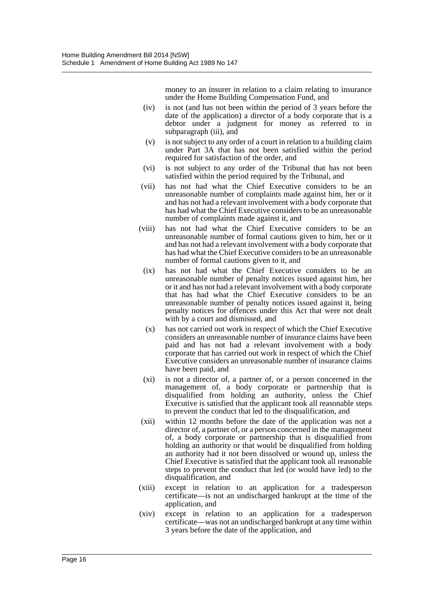money to an insurer in relation to a claim relating to insurance under the Home Building Compensation Fund, and

- (iv) is not (and has not been within the period of 3 years before the date of the application) a director of a body corporate that is a debtor under a judgment for money as referred to in subparagraph (iii), and
- (v) is not subject to any order of a court in relation to a building claim under Part 3A that has not been satisfied within the period required for satisfaction of the order, and
- (vi) is not subject to any order of the Tribunal that has not been satisfied within the period required by the Tribunal, and
- (vii) has not had what the Chief Executive considers to be an unreasonable number of complaints made against him, her or it and has not had a relevant involvement with a body corporate that has had what the Chief Executive considers to be an unreasonable number of complaints made against it, and
- (viii) has not had what the Chief Executive considers to be an unreasonable number of formal cautions given to him, her or it and has not had a relevant involvement with a body corporate that has had what the Chief Executive considers to be an unreasonable number of formal cautions given to it, and
	- (ix) has not had what the Chief Executive considers to be an unreasonable number of penalty notices issued against him, her or it and has not had a relevant involvement with a body corporate that has had what the Chief Executive considers to be an unreasonable number of penalty notices issued against it, being penalty notices for offences under this Act that were not dealt with by a court and dismissed, and
	- (x) has not carried out work in respect of which the Chief Executive considers an unreasonable number of insurance claims have been paid and has not had a relevant involvement with a body corporate that has carried out work in respect of which the Chief Executive considers an unreasonable number of insurance claims have been paid, and
- (xi) is not a director of, a partner of, or a person concerned in the management of, a body corporate or partnership that is disqualified from holding an authority, unless the Chief Executive is satisfied that the applicant took all reasonable steps to prevent the conduct that led to the disqualification, and
- (xii) within 12 months before the date of the application was not a director of, a partner of, or a person concerned in the management of, a body corporate or partnership that is disqualified from holding an authority or that would be disqualified from holding an authority had it not been dissolved or wound up, unless the Chief Executive is satisfied that the applicant took all reasonable steps to prevent the conduct that led (or would have led) to the disqualification, and
- (xiii) except in relation to an application for a tradesperson certificate—is not an undischarged bankrupt at the time of the application, and
- (xiv) except in relation to an application for a tradesperson certificate—was not an undischarged bankrupt at any time within 3 years before the date of the application, and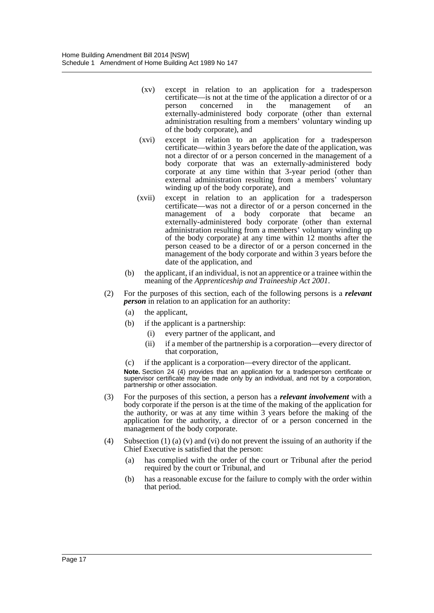- (xv) except in relation to an application for a tradesperson certificate—is not at the time of the application a director of or a person concerned in the management of externally-administered body corporate (other than external administration resulting from a members' voluntary winding up of the body corporate), and
- (xvi) except in relation to an application for a tradesperson certificate—within 3 years before the date of the application, was not a director of or a person concerned in the management of a body corporate that was an externally-administered body corporate at any time within that 3-year period (other than external administration resulting from a members' voluntary winding up of the body corporate), and
- (xvii) except in relation to an application for a tradesperson certificate—was not a director of or a person concerned in the management of a body corporate that became an externally-administered body corporate (other than external administration resulting from a members' voluntary winding up of the body corporate) at any time within 12 months after the person ceased to be a director of or a person concerned in the management of the body corporate and within 3 years before the date of the application, and
- (b) the applicant, if an individual, is not an apprentice or a trainee within the meaning of the *Apprenticeship and Traineeship Act 2001*.
- (2) For the purposes of this section, each of the following persons is a *relevant person* in relation to an application for an authority:
	- (a) the applicant,
	- (b) if the applicant is a partnership:
		- (i) every partner of the applicant, and
		- (ii) if a member of the partnership is a corporation—every director of that corporation,
	- (c) if the applicant is a corporation—every director of the applicant.

**Note.** Section 24 (4) provides that an application for a tradesperson certificate or supervisor certificate may be made only by an individual, and not by a corporation, partnership or other association.

- (3) For the purposes of this section, a person has a *relevant involvement* with a body corporate if the person is at the time of the making of the application for the authority, or was at any time within 3 years before the making of the application for the authority, a director of or a person concerned in the management of the body corporate.
- (4) Subsection (1) (a) (v) and (vi) do not prevent the issuing of an authority if the Chief Executive is satisfied that the person:
	- (a) has complied with the order of the court or Tribunal after the period required by the court or Tribunal, and
	- (b) has a reasonable excuse for the failure to comply with the order within that period.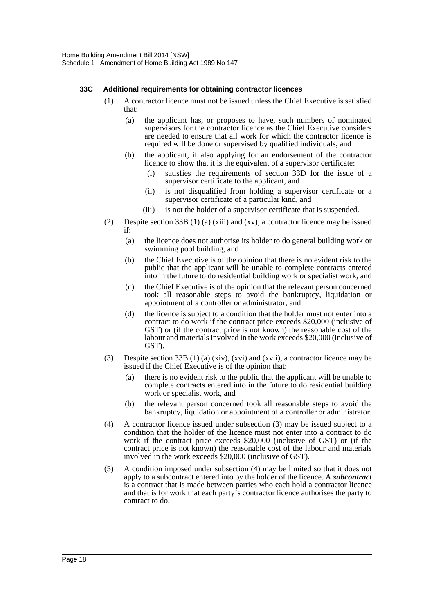#### **33C Additional requirements for obtaining contractor licences**

- (1) A contractor licence must not be issued unless the Chief Executive is satisfied that:
	- (a) the applicant has, or proposes to have, such numbers of nominated supervisors for the contractor licence as the Chief Executive considers are needed to ensure that all work for which the contractor licence is required will be done or supervised by qualified individuals, and
	- (b) the applicant, if also applying for an endorsement of the contractor licence to show that it is the equivalent of a supervisor certificate:
		- (i) satisfies the requirements of section 33D for the issue of a supervisor certificate to the applicant, and
		- (ii) is not disqualified from holding a supervisor certificate or a supervisor certificate of a particular kind, and
		- (iii) is not the holder of a supervisor certificate that is suspended.
- (2) Despite section 33B (1) (a) (xiii) and (xv), a contractor licence may be issued if:
	- (a) the licence does not authorise its holder to do general building work or swimming pool building, and
	- (b) the Chief Executive is of the opinion that there is no evident risk to the public that the applicant will be unable to complete contracts entered into in the future to do residential building work or specialist work, and
	- (c) the Chief Executive is of the opinion that the relevant person concerned took all reasonable steps to avoid the bankruptcy, liquidation or appointment of a controller or administrator, and
	- (d) the licence is subject to a condition that the holder must not enter into a contract to do work if the contract price exceeds \$20,000 (inclusive of GST) or (if the contract price is not known) the reasonable cost of the labour and materials involved in the work exceeds \$20,000 (inclusive of GST).
- (3) Despite section 33B (1) (a) (xiv), (xvi) and (xvii), a contractor licence may be issued if the Chief Executive is of the opinion that:
	- (a) there is no evident risk to the public that the applicant will be unable to complete contracts entered into in the future to do residential building work or specialist work, and
	- (b) the relevant person concerned took all reasonable steps to avoid the bankruptcy, liquidation or appointment of a controller or administrator.
- (4) A contractor licence issued under subsection (3) may be issued subject to a condition that the holder of the licence must not enter into a contract to do work if the contract price exceeds \$20,000 (inclusive of GST) or (if the contract price is not known) the reasonable cost of the labour and materials involved in the work exceeds \$20,000 (inclusive of GST).
- (5) A condition imposed under subsection (4) may be limited so that it does not apply to a subcontract entered into by the holder of the licence. A *subcontract* is a contract that is made between parties who each hold a contractor licence and that is for work that each party's contractor licence authorises the party to contract to do.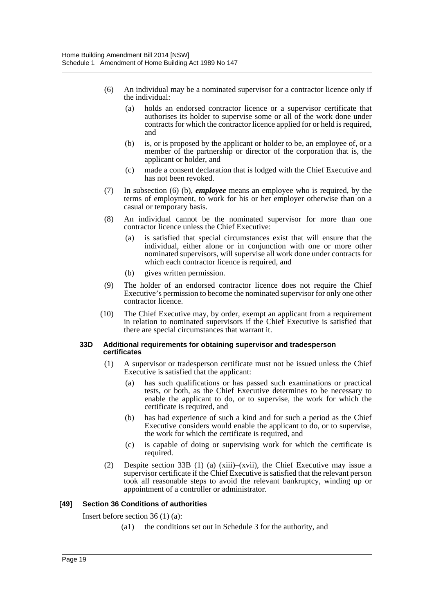- (6) An individual may be a nominated supervisor for a contractor licence only if the individual:
	- (a) holds an endorsed contractor licence or a supervisor certificate that authorises its holder to supervise some or all of the work done under contracts for which the contractor licence applied for or held is required, and
	- (b) is, or is proposed by the applicant or holder to be, an employee of, or a member of the partnership or director of the corporation that is, the applicant or holder, and
	- (c) made a consent declaration that is lodged with the Chief Executive and has not been revoked.
- (7) In subsection (6) (b), *employee* means an employee who is required, by the terms of employment, to work for his or her employer otherwise than on a casual or temporary basis.
- (8) An individual cannot be the nominated supervisor for more than one contractor licence unless the Chief Executive:
	- (a) is satisfied that special circumstances exist that will ensure that the individual, either alone or in conjunction with one or more other nominated supervisors, will supervise all work done under contracts for which each contractor licence is required, and
	- (b) gives written permission.
- (9) The holder of an endorsed contractor licence does not require the Chief Executive's permission to become the nominated supervisor for only one other contractor licence.
- (10) The Chief Executive may, by order, exempt an applicant from a requirement in relation to nominated supervisors if the Chief Executive is satisfied that there are special circumstances that warrant it.

#### **33D Additional requirements for obtaining supervisor and tradesperson certificates**

- (1) A supervisor or tradesperson certificate must not be issued unless the Chief Executive is satisfied that the applicant:
	- (a) has such qualifications or has passed such examinations or practical tests, or both, as the Chief Executive determines to be necessary to enable the applicant to do, or to supervise, the work for which the certificate is required, and
	- (b) has had experience of such a kind and for such a period as the Chief Executive considers would enable the applicant to do, or to supervise, the work for which the certificate is required, and
	- (c) is capable of doing or supervising work for which the certificate is required.
- (2) Despite section 33B (1) (a) (xiii)–(xvii), the Chief Executive may issue a supervisor certificate if the Chief Executive is satisfied that the relevant person took all reasonable steps to avoid the relevant bankruptcy, winding up or appointment of a controller or administrator.

#### **[49] Section 36 Conditions of authorities**

Insert before section 36 (1) (a):

(a1) the conditions set out in Schedule 3 for the authority, and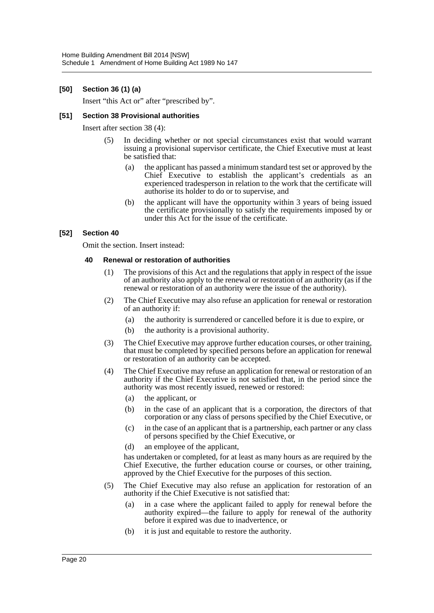#### **[50] Section 36 (1) (a)**

Insert "this Act or" after "prescribed by".

#### **[51] Section 38 Provisional authorities**

Insert after section 38 (4):

- (5) In deciding whether or not special circumstances exist that would warrant issuing a provisional supervisor certificate, the Chief Executive must at least be satisfied that:
	- (a) the applicant has passed a minimum standard test set or approved by the Chief Executive to establish the applicant's credentials as an experienced tradesperson in relation to the work that the certificate will authorise its holder to do or to supervise, and
	- (b) the applicant will have the opportunity within 3 years of being issued the certificate provisionally to satisfy the requirements imposed by or under this Act for the issue of the certificate.

#### **[52] Section 40**

Omit the section. Insert instead:

#### **40 Renewal or restoration of authorities**

- (1) The provisions of this Act and the regulations that apply in respect of the issue of an authority also apply to the renewal or restoration of an authority (as if the renewal or restoration of an authority were the issue of the authority).
- (2) The Chief Executive may also refuse an application for renewal or restoration of an authority if:
	- (a) the authority is surrendered or cancelled before it is due to expire, or
	- (b) the authority is a provisional authority.
- (3) The Chief Executive may approve further education courses, or other training, that must be completed by specified persons before an application for renewal or restoration of an authority can be accepted.
- (4) The Chief Executive may refuse an application for renewal or restoration of an authority if the Chief Executive is not satisfied that, in the period since the authority was most recently issued, renewed or restored:
	- (a) the applicant, or
	- (b) in the case of an applicant that is a corporation, the directors of that corporation or any class of persons specified by the Chief Executive, or
	- (c) in the case of an applicant that is a partnership, each partner or any class of persons specified by the Chief Executive, or
	- (d) an employee of the applicant,

has undertaken or completed, for at least as many hours as are required by the Chief Executive, the further education course or courses, or other training, approved by the Chief Executive for the purposes of this section.

- (5) The Chief Executive may also refuse an application for restoration of an authority if the Chief Executive is not satisfied that:
	- (a) in a case where the applicant failed to apply for renewal before the authority expired—the failure to apply for renewal of the authority before it expired was due to inadvertence, or
	- (b) it is just and equitable to restore the authority.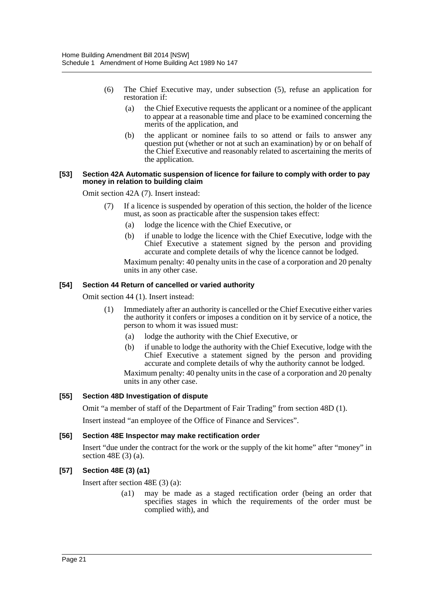- (6) The Chief Executive may, under subsection (5), refuse an application for restoration if:
	- (a) the Chief Executive requests the applicant or a nominee of the applicant to appear at a reasonable time and place to be examined concerning the merits of the application, and
	- (b) the applicant or nominee fails to so attend or fails to answer any question put (whether or not at such an examination) by or on behalf of the Chief Executive and reasonably related to ascertaining the merits of the application.

#### **[53] Section 42A Automatic suspension of licence for failure to comply with order to pay money in relation to building claim**

Omit section 42A (7). Insert instead:

- (7) If a licence is suspended by operation of this section, the holder of the licence must, as soon as practicable after the suspension takes effect:
	- (a) lodge the licence with the Chief Executive, or
	- (b) if unable to lodge the licence with the Chief Executive, lodge with the Chief Executive a statement signed by the person and providing accurate and complete details of why the licence cannot be lodged.

Maximum penalty: 40 penalty units in the case of a corporation and 20 penalty units in any other case.

#### **[54] Section 44 Return of cancelled or varied authority**

Omit section 44 (1). Insert instead:

- (1) Immediately after an authority is cancelled or the Chief Executive either varies the authority it confers or imposes a condition on it by service of a notice, the person to whom it was issued must:
	- (a) lodge the authority with the Chief Executive, or
	- (b) if unable to lodge the authority with the Chief Executive, lodge with the Chief Executive a statement signed by the person and providing accurate and complete details of why the authority cannot be lodged.

Maximum penalty: 40 penalty units in the case of a corporation and 20 penalty units in any other case.

#### **[55] Section 48D Investigation of dispute**

Omit "a member of staff of the Department of Fair Trading" from section 48D (1).

Insert instead "an employee of the Office of Finance and Services".

#### **[56] Section 48E Inspector may make rectification order**

Insert "due under the contract for the work or the supply of the kit home" after "money" in section 48E (3) (a).

#### **[57] Section 48E (3) (a1)**

Insert after section 48E (3) (a):

(a1) may be made as a staged rectification order (being an order that specifies stages in which the requirements of the order must be complied with), and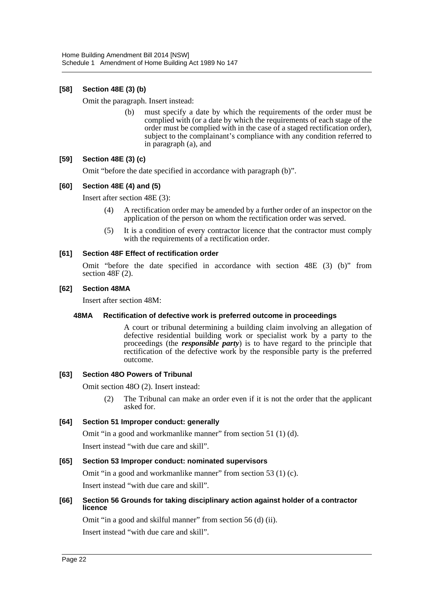#### **[58] Section 48E (3) (b)**

Omit the paragraph. Insert instead:

(b) must specify a date by which the requirements of the order must be complied with (or a date by which the requirements of each stage of the order must be complied with in the case of a staged rectification order), subject to the complainant's compliance with any condition referred to in paragraph (a), and

#### **[59] Section 48E (3) (c)**

Omit "before the date specified in accordance with paragraph (b)".

#### **[60] Section 48E (4) and (5)**

Insert after section 48E (3):

- (4) A rectification order may be amended by a further order of an inspector on the application of the person on whom the rectification order was served.
- (5) It is a condition of every contractor licence that the contractor must comply with the requirements of a rectification order.

#### **[61] Section 48F Effect of rectification order**

Omit "before the date specified in accordance with section 48E (3) (b)" from section 48F (2).

#### **[62] Section 48MA**

Insert after section 48M:

#### **48MA Rectification of defective work is preferred outcome in proceedings**

A court or tribunal determining a building claim involving an allegation of defective residential building work or specialist work by a party to the proceedings (the *responsible party*) is to have regard to the principle that rectification of the defective work by the responsible party is the preferred outcome.

#### **[63] Section 48O Powers of Tribunal**

Omit section 48O (2). Insert instead:

(2) The Tribunal can make an order even if it is not the order that the applicant asked for.

#### **[64] Section 51 Improper conduct: generally**

Omit "in a good and workmanlike manner" from section 51 (1) (d).

Insert instead "with due care and skill".

#### **[65] Section 53 Improper conduct: nominated supervisors**

Omit "in a good and workmanlike manner" from section 53 (1) (c). Insert instead "with due care and skill".

#### **[66] Section 56 Grounds for taking disciplinary action against holder of a contractor licence**

Omit "in a good and skilful manner" from section 56 (d) (ii). Insert instead "with due care and skill".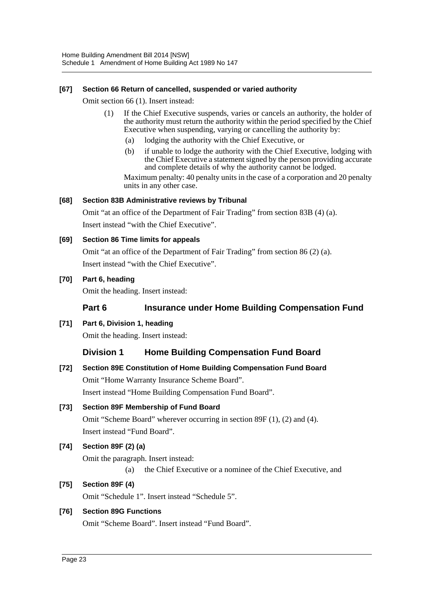#### **[67] Section 66 Return of cancelled, suspended or varied authority**

Omit section 66 (1). Insert instead:

- (1) If the Chief Executive suspends, varies or cancels an authority, the holder of the authority must return the authority within the period specified by the Chief Executive when suspending, varying or cancelling the authority by:
	- (a) lodging the authority with the Chief Executive, or
	- (b) if unable to lodge the authority with the Chief Executive, lodging with the Chief Executive a statement signed by the person providing accurate and complete details of why the authority cannot be lodged.

Maximum penalty: 40 penalty units in the case of a corporation and 20 penalty units in any other case.

#### **[68] Section 83B Administrative reviews by Tribunal**

Omit "at an office of the Department of Fair Trading" from section 83B (4) (a). Insert instead "with the Chief Executive".

#### **[69] Section 86 Time limits for appeals**

Omit "at an office of the Department of Fair Trading" from section 86 (2) (a). Insert instead "with the Chief Executive".

#### **[70] Part 6, heading**

Omit the heading. Insert instead:

#### **Part 6 Insurance under Home Building Compensation Fund**

**[71] Part 6, Division 1, heading**

Omit the heading. Insert instead:

## **Division 1 Home Building Compensation Fund Board**

**[72] Section 89E Constitution of Home Building Compensation Fund Board** Omit "Home Warranty Insurance Scheme Board".

Insert instead "Home Building Compensation Fund Board".

#### **[73] Section 89F Membership of Fund Board**

Omit "Scheme Board" wherever occurring in section 89F (1), (2) and (4). Insert instead "Fund Board".

#### **[74] Section 89F (2) (a)**

Omit the paragraph. Insert instead: (a) the Chief Executive or a nominee of the Chief Executive, and

#### **[75] Section 89F (4)**

Omit "Schedule 1". Insert instead "Schedule 5".

#### **[76] Section 89G Functions**

Omit "Scheme Board". Insert instead "Fund Board".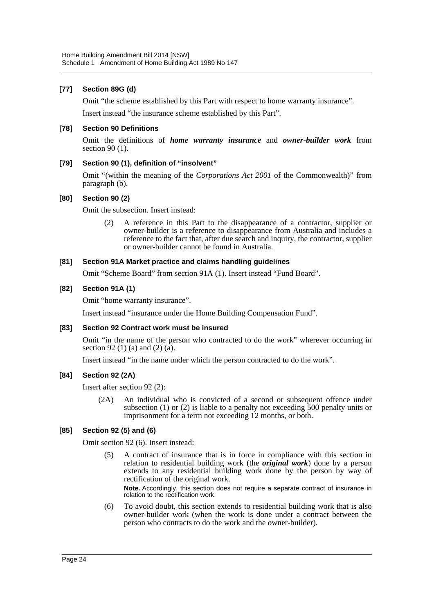#### **[77] Section 89G (d)**

Omit "the scheme established by this Part with respect to home warranty insurance".

Insert instead "the insurance scheme established by this Part".

#### **[78] Section 90 Definitions**

Omit the definitions of *home warranty insurance* and *owner-builder work* from section 90 (1).

#### **[79] Section 90 (1), definition of "insolvent"**

Omit "(within the meaning of the *Corporations Act 2001* of the Commonwealth)" from paragraph (b).

#### **[80] Section 90 (2)**

Omit the subsection. Insert instead:

A reference in this Part to the disappearance of a contractor, supplier or owner-builder is a reference to disappearance from Australia and includes a reference to the fact that, after due search and inquiry, the contractor, supplier or owner-builder cannot be found in Australia.

#### **[81] Section 91A Market practice and claims handling guidelines**

Omit "Scheme Board" from section 91A (1). Insert instead "Fund Board".

#### **[82] Section 91A (1)**

Omit "home warranty insurance".

Insert instead "insurance under the Home Building Compensation Fund".

#### **[83] Section 92 Contract work must be insured**

Omit "in the name of the person who contracted to do the work" wherever occurring in section 92 (1) (a) and (2) ( $a$ ).

Insert instead "in the name under which the person contracted to do the work".

#### **[84] Section 92 (2A)**

Insert after section 92 (2):

(2A) An individual who is convicted of a second or subsequent offence under subsection (1) or (2) is liable to a penalty not exceeding 500 penalty units or imprisonment for a term not exceeding 12 months, or both.

#### **[85] Section 92 (5) and (6)**

Omit section 92 (6). Insert instead:

(5) A contract of insurance that is in force in compliance with this section in relation to residential building work (the *original work*) done by a person extends to any residential building work done by the person by way of rectification of the original work.

**Note.** Accordingly, this section does not require a separate contract of insurance in relation to the rectification work.

(6) To avoid doubt, this section extends to residential building work that is also owner-builder work (when the work is done under a contract between the person who contracts to do the work and the owner-builder).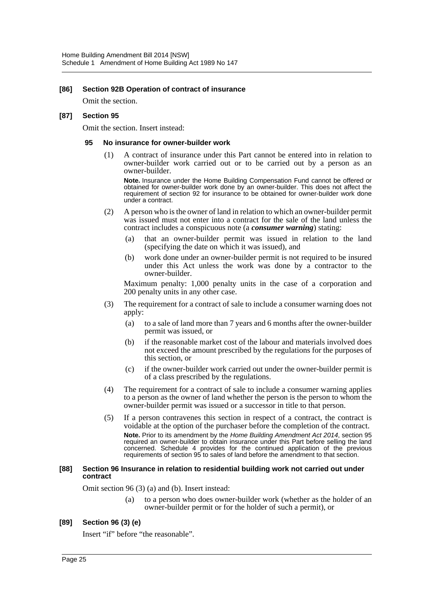#### **[86] Section 92B Operation of contract of insurance**

Omit the section.

#### **[87] Section 95**

Omit the section. Insert instead:

#### **95 No insurance for owner-builder work**

(1) A contract of insurance under this Part cannot be entered into in relation to owner-builder work carried out or to be carried out by a person as an owner-builder.

**Note.** Insurance under the Home Building Compensation Fund cannot be offered or obtained for owner-builder work done by an owner-builder. This does not affect the requirement of section 92 for insurance to be obtained for owner-builder work done under a contract.

- (2) A person who is the owner of land in relation to which an owner-builder permit was issued must not enter into a contract for the sale of the land unless the contract includes a conspicuous note (a *consumer warning*) stating:
	- (a) that an owner-builder permit was issued in relation to the land (specifying the date on which it was issued), and
	- (b) work done under an owner-builder permit is not required to be insured under this Act unless the work was done by a contractor to the owner-builder.

Maximum penalty: 1,000 penalty units in the case of a corporation and 200 penalty units in any other case.

- (3) The requirement for a contract of sale to include a consumer warning does not apply:
	- (a) to a sale of land more than 7 years and 6 months after the owner-builder permit was issued, or
	- (b) if the reasonable market cost of the labour and materials involved does not exceed the amount prescribed by the regulations for the purposes of this section, or
	- (c) if the owner-builder work carried out under the owner-builder permit is of a class prescribed by the regulations.
- (4) The requirement for a contract of sale to include a consumer warning applies to a person as the owner of land whether the person is the person to whom the owner-builder permit was issued or a successor in title to that person.
- (5) If a person contravenes this section in respect of a contract, the contract is voidable at the option of the purchaser before the completion of the contract. **Note.** Prior to its amendment by the *Home Building Amendment Act 2014*, section 95 required an owner-builder to obtain insurance under this Part before selling the land concerned. Schedule 4 provides for the continued application of the previous requirements of section 95 to sales of land before the amendment to that section.

#### **[88] Section 96 Insurance in relation to residential building work not carried out under contract**

Omit section 96 (3) (a) and (b). Insert instead:

(a) to a person who does owner-builder work (whether as the holder of an owner-builder permit or for the holder of such a permit), or

#### **[89] Section 96 (3) (e)**

Insert "if" before "the reasonable".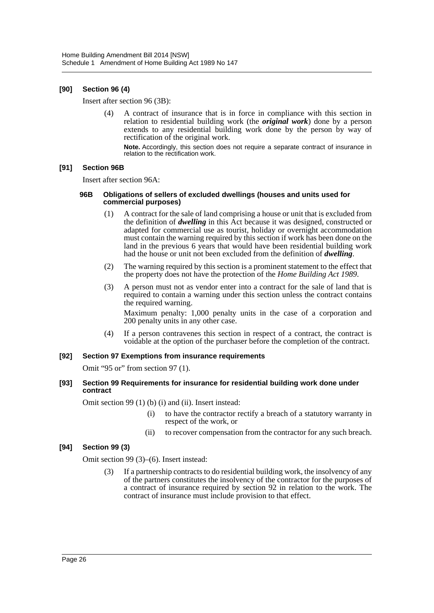#### **[90] Section 96 (4)**

Insert after section 96 (3B):

(4) A contract of insurance that is in force in compliance with this section in relation to residential building work (the *original work*) done by a person extends to any residential building work done by the person by way of rectification of the original work.

**Note.** Accordingly, this section does not require a separate contract of insurance in relation to the rectification work.

#### **[91] Section 96B**

Insert after section 96A:

#### **96B Obligations of sellers of excluded dwellings (houses and units used for commercial purposes)**

- (1) A contract for the sale of land comprising a house or unit that is excluded from the definition of *dwelling* in this Act because it was designed, constructed or adapted for commercial use as tourist, holiday or overnight accommodation must contain the warning required by this section if work has been done on the land in the previous 6 years that would have been residential building work had the house or unit not been excluded from the definition of *dwelling*.
- (2) The warning required by this section is a prominent statement to the effect that the property does not have the protection of the *Home Building Act 1989*.
- (3) A person must not as vendor enter into a contract for the sale of land that is required to contain a warning under this section unless the contract contains the required warning.

Maximum penalty: 1,000 penalty units in the case of a corporation and 200 penalty units in any other case.

(4) If a person contravenes this section in respect of a contract, the contract is voidable at the option of the purchaser before the completion of the contract.

#### **[92] Section 97 Exemptions from insurance requirements**

Omit "95 or" from section 97 (1).

#### **[93] Section 99 Requirements for insurance for residential building work done under contract**

Omit section 99 (1) (b) (i) and (ii). Insert instead:

- (i) to have the contractor rectify a breach of a statutory warranty in respect of the work, or
- (ii) to recover compensation from the contractor for any such breach.

#### **[94] Section 99 (3)**

Omit section 99 (3)–(6). Insert instead:

(3) If a partnership contracts to do residential building work, the insolvency of any of the partners constitutes the insolvency of the contractor for the purposes of a contract of insurance required by section 92 in relation to the work. The contract of insurance must include provision to that effect.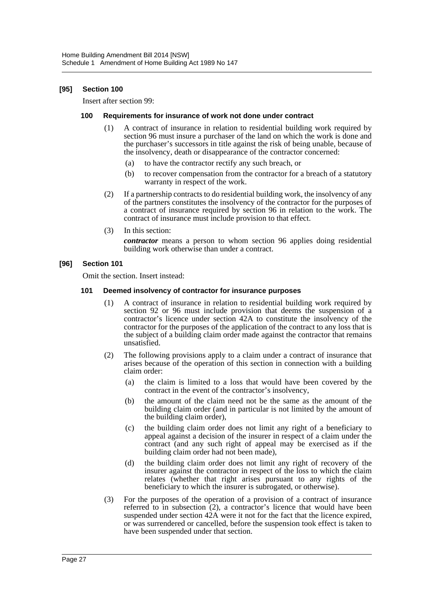#### **[95] Section 100**

Insert after section 99:

#### **100 Requirements for insurance of work not done under contract**

- (1) A contract of insurance in relation to residential building work required by section 96 must insure a purchaser of the land on which the work is done and the purchaser's successors in title against the risk of being unable, because of the insolvency, death or disappearance of the contractor concerned:
	- (a) to have the contractor rectify any such breach, or
	- (b) to recover compensation from the contractor for a breach of a statutory warranty in respect of the work.
- (2) If a partnership contracts to do residential building work, the insolvency of any of the partners constitutes the insolvency of the contractor for the purposes of a contract of insurance required by section 96 in relation to the work. The contract of insurance must include provision to that effect.
- (3) In this section:

*contractor* means a person to whom section 96 applies doing residential building work otherwise than under a contract.

#### **[96] Section 101**

Omit the section. Insert instead:

#### **101 Deemed insolvency of contractor for insurance purposes**

- (1) A contract of insurance in relation to residential building work required by section 92 or 96 must include provision that deems the suspension of a contractor's licence under section 42A to constitute the insolvency of the contractor for the purposes of the application of the contract to any loss that is the subject of a building claim order made against the contractor that remains unsatisfied.
- (2) The following provisions apply to a claim under a contract of insurance that arises because of the operation of this section in connection with a building claim order:
	- (a) the claim is limited to a loss that would have been covered by the contract in the event of the contractor's insolvency,
	- (b) the amount of the claim need not be the same as the amount of the building claim order (and in particular is not limited by the amount of the building claim order),
	- (c) the building claim order does not limit any right of a beneficiary to appeal against a decision of the insurer in respect of a claim under the contract (and any such right of appeal may be exercised as if the building claim order had not been made),
	- (d) the building claim order does not limit any right of recovery of the insurer against the contractor in respect of the loss to which the claim relates (whether that right arises pursuant to any rights of the beneficiary to which the insurer is subrogated, or otherwise).
- (3) For the purposes of the operation of a provision of a contract of insurance referred to in subsection (2), a contractor's licence that would have been suspended under section 42A were it not for the fact that the licence expired, or was surrendered or cancelled, before the suspension took effect is taken to have been suspended under that section.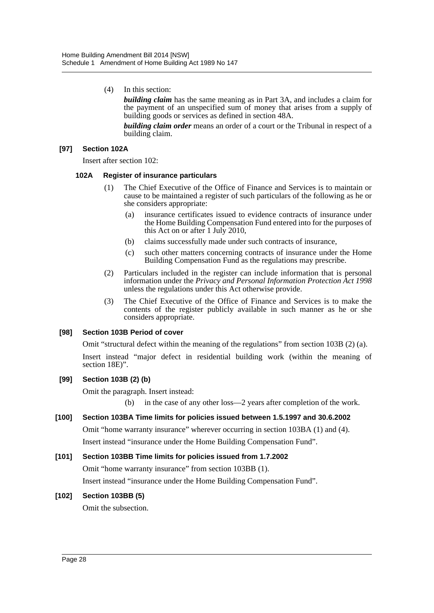(4) In this section:

*building claim* has the same meaning as in Part 3A, and includes a claim for the payment of an unspecified sum of money that arises from a supply of building goods or services as defined in section 48A.

*building claim order* means an order of a court or the Tribunal in respect of a building claim.

#### **[97] Section 102A**

Insert after section 102:

#### **102A Register of insurance particulars**

- (1) The Chief Executive of the Office of Finance and Services is to maintain or cause to be maintained a register of such particulars of the following as he or she considers appropriate:
	- (a) insurance certificates issued to evidence contracts of insurance under the Home Building Compensation Fund entered into for the purposes of this Act on or after 1 July 2010,
	- (b) claims successfully made under such contracts of insurance,
	- (c) such other matters concerning contracts of insurance under the Home Building Compensation Fund as the regulations may prescribe.
- (2) Particulars included in the register can include information that is personal information under the *Privacy and Personal Information Protection Act 1998* unless the regulations under this Act otherwise provide.
- (3) The Chief Executive of the Office of Finance and Services is to make the contents of the register publicly available in such manner as he or she considers appropriate.

#### **[98] Section 103B Period of cover**

Omit "structural defect within the meaning of the regulations" from section 103B (2) (a).

Insert instead "major defect in residential building work (within the meaning of section 18E)".

#### **[99] Section 103B (2) (b)**

Omit the paragraph. Insert instead:

(b) in the case of any other loss—2 years after completion of the work.

#### **[100] Section 103BA Time limits for policies issued between 1.5.1997 and 30.6.2002**

Omit "home warranty insurance" wherever occurring in section 103BA (1) and (4). Insert instead "insurance under the Home Building Compensation Fund".

#### **[101] Section 103BB Time limits for policies issued from 1.7.2002**

Omit "home warranty insurance" from section 103BB (1).

Insert instead "insurance under the Home Building Compensation Fund".

#### **[102] Section 103BB (5)**

Omit the subsection.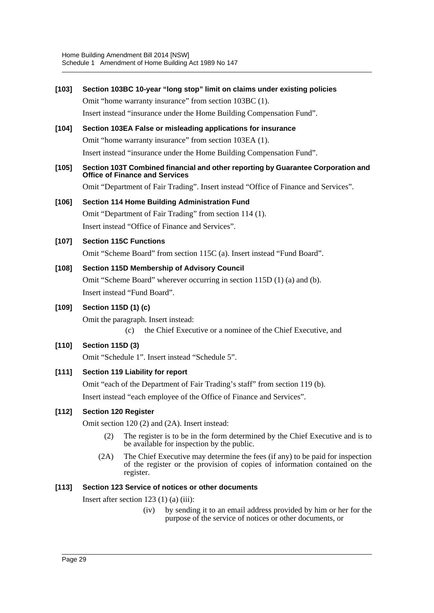#### **[103] Section 103BC 10-year "long stop" limit on claims under existing policies**

Omit "home warranty insurance" from section 103BC (1).

Insert instead "insurance under the Home Building Compensation Fund".

#### **[104] Section 103EA False or misleading applications for insurance**

Omit "home warranty insurance" from section 103EA (1).

Insert instead "insurance under the Home Building Compensation Fund".

#### **[105] Section 103T Combined financial and other reporting by Guarantee Corporation and Office of Finance and Services**

Omit "Department of Fair Trading". Insert instead "Office of Finance and Services".

#### **[106] Section 114 Home Building Administration Fund**

Omit "Department of Fair Trading" from section 114 (1). Insert instead "Office of Finance and Services".

#### **[107] Section 115C Functions**

Omit "Scheme Board" from section 115C (a). Insert instead "Fund Board".

#### **[108] Section 115D Membership of Advisory Council**

Omit "Scheme Board" wherever occurring in section 115D (1) (a) and (b). Insert instead "Fund Board".

#### **[109] Section 115D (1) (c)**

Omit the paragraph. Insert instead:

(c) the Chief Executive or a nominee of the Chief Executive, and

#### **[110] Section 115D (3)**

Omit "Schedule 1". Insert instead "Schedule 5".

#### **[111] Section 119 Liability for report**

Omit "each of the Department of Fair Trading's staff" from section 119 (b). Insert instead "each employee of the Office of Finance and Services".

#### **[112] Section 120 Register**

Omit section 120 (2) and (2A). Insert instead:

- (2) The register is to be in the form determined by the Chief Executive and is to be available for inspection by the public.
- (2A) The Chief Executive may determine the fees (if any) to be paid for inspection of the register or the provision of copies of information contained on the register.

#### **[113] Section 123 Service of notices or other documents**

Insert after section  $123(1)(a)(iii)$ :

(iv) by sending it to an email address provided by him or her for the purpose of the service of notices or other documents, or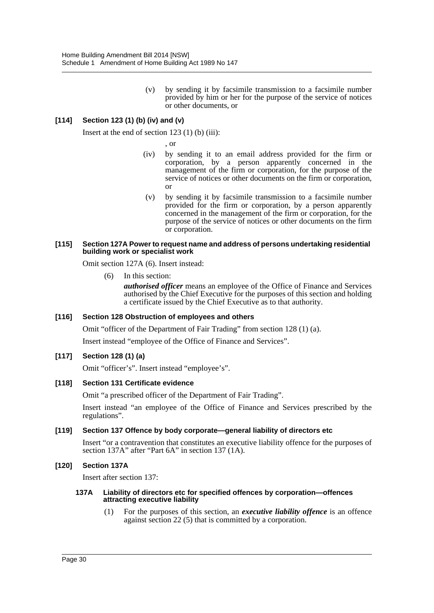(v) by sending it by facsimile transmission to a facsimile number provided by him or her for the purpose of the service of notices or other documents, or

### **[114] Section 123 (1) (b) (iv) and (v)**

Insert at the end of section  $123(1)$  (b) (iii):

, or

- (iv) by sending it to an email address provided for the firm or corporation, by a person apparently concerned in the management of the firm or corporation, for the purpose of the service of notices or other documents on the firm or corporation, or
- (v) by sending it by facsimile transmission to a facsimile number provided for the firm or corporation, by a person apparently concerned in the management of the firm or corporation, for the purpose of the service of notices or other documents on the firm or corporation.

#### **[115] Section 127A Power to request name and address of persons undertaking residential building work or specialist work**

Omit section 127A (6). Insert instead:

(6) In this section:

*authorised officer* means an employee of the Office of Finance and Services authorised by the Chief Executive for the purposes of this section and holding a certificate issued by the Chief Executive as to that authority.

#### **[116] Section 128 Obstruction of employees and others**

Omit "officer of the Department of Fair Trading" from section 128 (1) (a).

Insert instead "employee of the Office of Finance and Services".

#### **[117] Section 128 (1) (a)**

Omit "officer's". Insert instead "employee's".

#### **[118] Section 131 Certificate evidence**

Omit "a prescribed officer of the Department of Fair Trading".

Insert instead "an employee of the Office of Finance and Services prescribed by the regulations".

#### **[119] Section 137 Offence by body corporate—general liability of directors etc**

Insert "or a contravention that constitutes an executive liability offence for the purposes of section 137A" after "Part 6A" in section 137 (1A).

#### **[120] Section 137A**

Insert after section 137:

#### **137A Liability of directors etc for specified offences by corporation—offences attracting executive liability**

(1) For the purposes of this section, an *executive liability offence* is an offence against section 22 (5) that is committed by a corporation.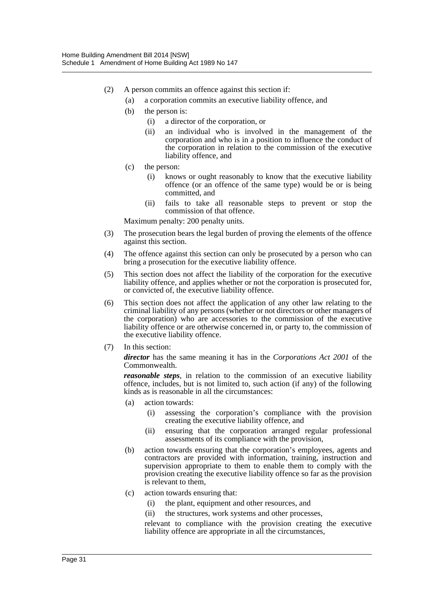- (2) A person commits an offence against this section if:
	- (a) a corporation commits an executive liability offence, and
	- (b) the person is:
		- (i) a director of the corporation, or
		- (ii) an individual who is involved in the management of the corporation and who is in a position to influence the conduct of the corporation in relation to the commission of the executive liability offence, and
	- (c) the person:
		- (i) knows or ought reasonably to know that the executive liability offence (or an offence of the same type) would be or is being committed, and
		- (ii) fails to take all reasonable steps to prevent or stop the commission of that offence.

Maximum penalty: 200 penalty units.

- (3) The prosecution bears the legal burden of proving the elements of the offence against this section.
- (4) The offence against this section can only be prosecuted by a person who can bring a prosecution for the executive liability offence.
- (5) This section does not affect the liability of the corporation for the executive liability offence, and applies whether or not the corporation is prosecuted for, or convicted of, the executive liability offence.
- (6) This section does not affect the application of any other law relating to the criminal liability of any persons (whether or not directors or other managers of the corporation) who are accessories to the commission of the executive liability offence or are otherwise concerned in, or party to, the commission of the executive liability offence.
- (7) In this section:

*director* has the same meaning it has in the *Corporations Act 2001* of the Commonwealth.

*reasonable steps*, in relation to the commission of an executive liability offence, includes, but is not limited to, such action (if any) of the following kinds as is reasonable in all the circumstances:

- (a) action towards:
	- (i) assessing the corporation's compliance with the provision creating the executive liability offence, and
	- (ii) ensuring that the corporation arranged regular professional assessments of its compliance with the provision,
- (b) action towards ensuring that the corporation's employees, agents and contractors are provided with information, training, instruction and supervision appropriate to them to enable them to comply with the provision creating the executive liability offence so far as the provision is relevant to them,
- (c) action towards ensuring that:
	- (i) the plant, equipment and other resources, and
	- (ii) the structures, work systems and other processes,

relevant to compliance with the provision creating the executive liability offence are appropriate in all the circumstances,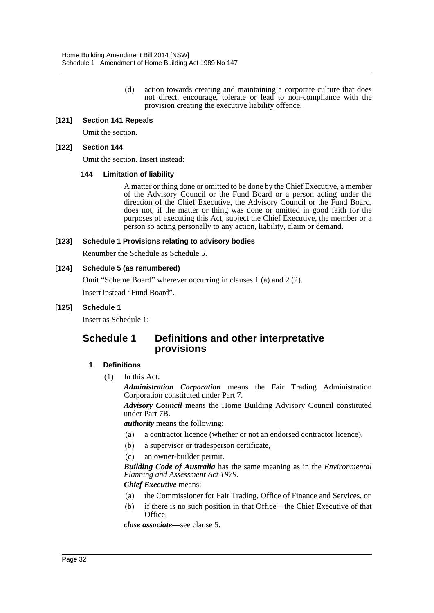(d) action towards creating and maintaining a corporate culture that does not direct, encourage, tolerate or lead to non-compliance with the provision creating the executive liability offence.

#### **[121] Section 141 Repeals**

Omit the section.

#### **[122] Section 144**

Omit the section. Insert instead:

#### **144 Limitation of liability**

A matter or thing done or omitted to be done by the Chief Executive, a member of the Advisory Council or the Fund Board or a person acting under the direction of the Chief Executive, the Advisory Council or the Fund Board, does not, if the matter or thing was done or omitted in good faith for the purposes of executing this Act, subject the Chief Executive, the member or a person so acting personally to any action, liability, claim or demand.

#### **[123] Schedule 1 Provisions relating to advisory bodies**

Renumber the Schedule as Schedule 5.

#### **[124] Schedule 5 (as renumbered)**

Omit "Scheme Board" wherever occurring in clauses 1 (a) and 2 (2).

Insert instead "Fund Board".

#### **[125] Schedule 1**

Insert as Schedule 1:

# **Schedule 1 Definitions and other interpretative provisions**

#### **1 Definitions**

(1) In this Act:

*Administration Corporation* means the Fair Trading Administration Corporation constituted under Part 7.

*Advisory Council* means the Home Building Advisory Council constituted under Part 7B.

*authority* means the following:

- (a) a contractor licence (whether or not an endorsed contractor licence),
- (b) a supervisor or tradesperson certificate,
- (c) an owner-builder permit.

*Building Code of Australia* has the same meaning as in the *Environmental Planning and Assessment Act 1979*.

#### *Chief Executive* means:

- (a) the Commissioner for Fair Trading, Office of Finance and Services, or
- (b) if there is no such position in that Office—the Chief Executive of that Office.

*close associate*—see clause 5.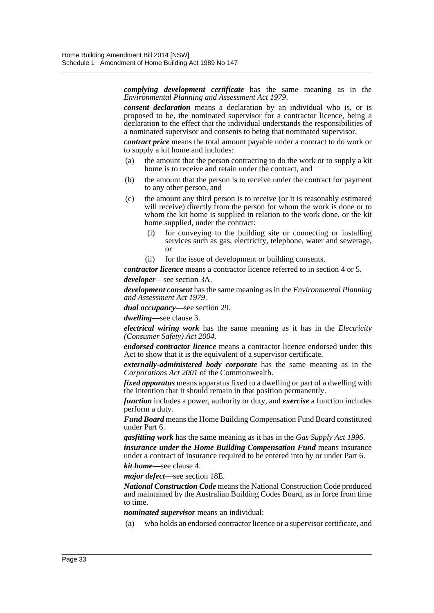*complying development certificate* has the same meaning as in the *Environmental Planning and Assessment Act 1979*.

*consent declaration* means a declaration by an individual who is, or is proposed to be, the nominated supervisor for a contractor licence, being a declaration to the effect that the individual understands the responsibilities of a nominated supervisor and consents to being that nominated supervisor.

*contract price* means the total amount payable under a contract to do work or to supply a kit home and includes:

- (a) the amount that the person contracting to do the work or to supply a kit home is to receive and retain under the contract, and
- (b) the amount that the person is to receive under the contract for payment to any other person, and
- (c) the amount any third person is to receive (or it is reasonably estimated will receive) directly from the person for whom the work is done or to whom the kit home is supplied in relation to the work done, or the kit home supplied, under the contract:
	- (i) for conveying to the building site or connecting or installing services such as gas, electricity, telephone, water and sewerage, or
	- (ii) for the issue of development or building consents.

*contractor licence* means a contractor licence referred to in section 4 or 5.

*developer*—see section 3A.

*development consent* has the same meaning as in the *Environmental Planning and Assessment Act 1979*.

*dual occupancy*—see section 29.

*dwelling*—see clause 3.

*electrical wiring work* has the same meaning as it has in the *Electricity (Consumer Safety) Act 2004*.

*endorsed contractor licence* means a contractor licence endorsed under this Act to show that it is the equivalent of a supervisor certificate.

*externally-administered body corporate* has the same meaning as in the *Corporations Act 2001* of the Commonwealth.

*fixed apparatus* means apparatus fixed to a dwelling or part of a dwelling with the intention that it should remain in that position permanently.

*function* includes a power, authority or duty, and *exercise* a function includes perform a duty.

*Fund Board* means the Home Building Compensation Fund Board constituted under Part 6.

*gasfitting work* has the same meaning as it has in the *Gas Supply Act 1996*.

*insurance under the Home Building Compensation Fund* means insurance under a contract of insurance required to be entered into by or under Part 6.

*kit home*—see clause 4.

*major defect*—see section 18E.

*National Construction Code* means the National Construction Code produced and maintained by the Australian Building Codes Board, as in force from time to time.

*nominated supervisor* means an individual:

(a) who holds an endorsed contractor licence or a supervisor certificate, and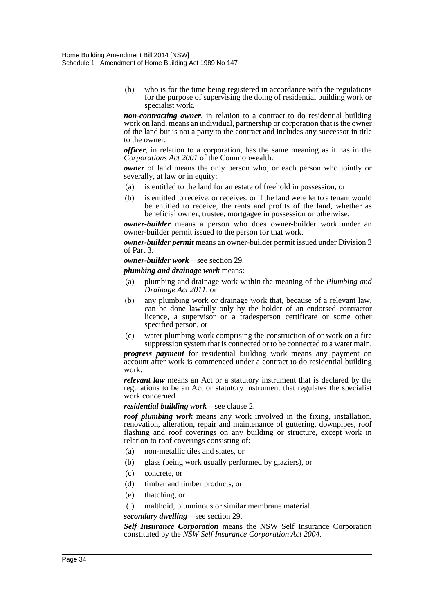(b) who is for the time being registered in accordance with the regulations for the purpose of supervising the doing of residential building work or specialist work.

*non-contracting owner*, in relation to a contract to do residential building work on land, means an individual, partnership or corporation that is the owner of the land but is not a party to the contract and includes any successor in title to the owner.

*officer*, in relation to a corporation, has the same meaning as it has in the *Corporations Act 2001* of the Commonwealth.

*owner* of land means the only person who, or each person who jointly or severally, at law or in equity:

- (a) is entitled to the land for an estate of freehold in possession, or
- (b) is entitled to receive, or receives, or if the land were let to a tenant would be entitled to receive, the rents and profits of the land, whether as beneficial owner, trustee, mortgagee in possession or otherwise.

*owner-builder* means a person who does owner-builder work under an owner-builder permit issued to the person for that work.

*owner-builder permit* means an owner-builder permit issued under Division 3 of Part 3.

*owner-builder work*—see section 29.

*plumbing and drainage work* means:

- (a) plumbing and drainage work within the meaning of the *Plumbing and Drainage Act 2011*, or
- (b) any plumbing work or drainage work that, because of a relevant law, can be done lawfully only by the holder of an endorsed contractor licence, a supervisor or a tradesperson certificate or some other specified person, or
- (c) water plumbing work comprising the construction of or work on a fire suppression system that is connected or to be connected to a water main.

*progress payment* for residential building work means any payment on account after work is commenced under a contract to do residential building work.

*relevant law* means an Act or a statutory instrument that is declared by the regulations to be an Act or statutory instrument that regulates the specialist work concerned.

#### *residential building work*—see clause 2.

*roof plumbing work* means any work involved in the fixing, installation, renovation, alteration, repair and maintenance of guttering, downpipes, roof flashing and roof coverings on any building or structure, except work in relation to roof coverings consisting of:

- (a) non-metallic tiles and slates, or
- (b) glass (being work usually performed by glaziers), or
- (c) concrete, or
- (d) timber and timber products, or
- (e) thatching, or
- (f) malthoid, bituminous or similar membrane material.

*secondary dwelling*—see section 29.

*Self Insurance Corporation* means the NSW Self Insurance Corporation constituted by the *NSW Self Insurance Corporation Act 2004*.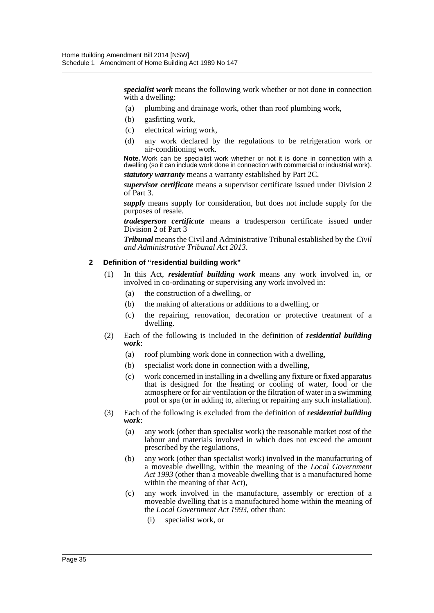*specialist work* means the following work whether or not done in connection with a dwelling:

- (a) plumbing and drainage work, other than roof plumbing work,
- (b) gasfitting work,
- (c) electrical wiring work,
- (d) any work declared by the regulations to be refrigeration work or air-conditioning work.

**Note.** Work can be specialist work whether or not it is done in connection with a dwelling (so it can include work done in connection with commercial or industrial work). *statutory warranty* means a warranty established by Part 2C.

*supervisor certificate* means a supervisor certificate issued under Division 2 of Part 3.

*supply* means supply for consideration, but does not include supply for the purposes of resale.

*tradesperson certificate* means a tradesperson certificate issued under Division 2 of Part 3

*Tribunal* means the Civil and Administrative Tribunal established by the *Civil and Administrative Tribunal Act 2013*.

#### **2 Definition of "residential building work"**

- (1) In this Act, *residential building work* means any work involved in, or involved in co-ordinating or supervising any work involved in:
	- (a) the construction of a dwelling, or
	- (b) the making of alterations or additions to a dwelling, or
	- (c) the repairing, renovation, decoration or protective treatment of a dwelling.
- (2) Each of the following is included in the definition of *residential building work*:
	- (a) roof plumbing work done in connection with a dwelling,
	- (b) specialist work done in connection with a dwelling,
	- (c) work concerned in installing in a dwelling any fixture or fixed apparatus that is designed for the heating or cooling of water, food or the atmosphere or for air ventilation or the filtration of water in a swimming pool or spa (or in adding to, altering or repairing any such installation).
- (3) Each of the following is excluded from the definition of *residential building work*:
	- (a) any work (other than specialist work) the reasonable market cost of the labour and materials involved in which does not exceed the amount prescribed by the regulations,
	- (b) any work (other than specialist work) involved in the manufacturing of a moveable dwelling, within the meaning of the *Local Government Act 1993* (other than a moveable dwelling that is a manufactured home within the meaning of that Act),
	- (c) any work involved in the manufacture, assembly or erection of a moveable dwelling that is a manufactured home within the meaning of the *Local Government Act 1993*, other than:
		- (i) specialist work, or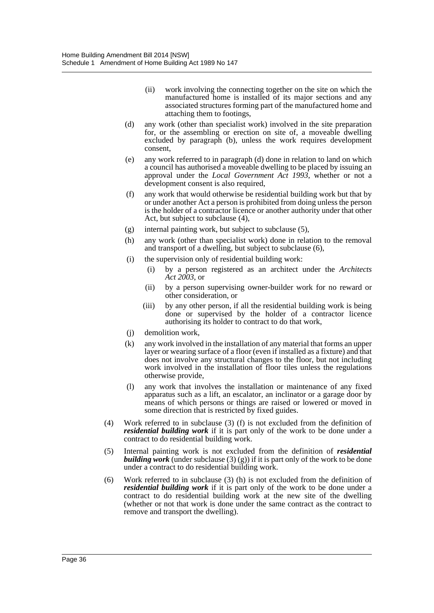- (ii) work involving the connecting together on the site on which the manufactured home is installed of its major sections and any associated structures forming part of the manufactured home and attaching them to footings,
- (d) any work (other than specialist work) involved in the site preparation for, or the assembling or erection on site of, a moveable dwelling excluded by paragraph (b), unless the work requires development consent,
- (e) any work referred to in paragraph (d) done in relation to land on which a council has authorised a moveable dwelling to be placed by issuing an approval under the *Local Government Act 1993*, whether or not a development consent is also required,
- (f) any work that would otherwise be residential building work but that by or under another Act a person is prohibited from doing unless the person is the holder of a contractor licence or another authority under that other Act, but subject to subclause (4),
- (g) internal painting work, but subject to subclause (5),
- (h) any work (other than specialist work) done in relation to the removal and transport of a dwelling, but subject to subclause (6),
- (i) the supervision only of residential building work:
	- (i) by a person registered as an architect under the *Architects Act 2003*, or
	- (ii) by a person supervising owner-builder work for no reward or other consideration, or
	- (iii) by any other person, if all the residential building work is being done or supervised by the holder of a contractor licence authorising its holder to contract to do that work,
- (j) demolition work,
- (k) any work involved in the installation of any material that forms an upper layer or wearing surface of a floor (even if installed as a fixture) and that does not involve any structural changes to the floor, but not including work involved in the installation of floor tiles unless the regulations otherwise provide,
- (l) any work that involves the installation or maintenance of any fixed apparatus such as a lift, an escalator, an inclinator or a garage door by means of which persons or things are raised or lowered or moved in some direction that is restricted by fixed guides.
- (4) Work referred to in subclause (3) (f) is not excluded from the definition of *residential building work* if it is part only of the work to be done under a contract to do residential building work.
- (5) Internal painting work is not excluded from the definition of *residential building work* (under subclause  $(3)(g)$ ) if it is part only of the work to be done under a contract to do residential building work.
- (6) Work referred to in subclause (3) (h) is not excluded from the definition of *residential building work* if it is part only of the work to be done under a contract to do residential building work at the new site of the dwelling (whether or not that work is done under the same contract as the contract to remove and transport the dwelling).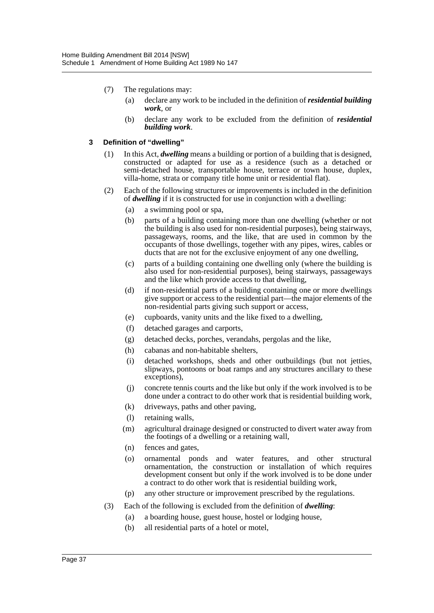- (7) The regulations may:
	- (a) declare any work to be included in the definition of *residential building work*, or
	- (b) declare any work to be excluded from the definition of *residential building work*.

#### **3 Definition of "dwelling"**

- (1) In this Act, *dwelling* means a building or portion of a building that is designed, constructed or adapted for use as a residence (such as a detached or semi-detached house, transportable house, terrace or town house, duplex, villa-home, strata or company title home unit or residential flat).
- (2) Each of the following structures or improvements is included in the definition of *dwelling* if it is constructed for use in conjunction with a dwelling:
	- (a) a swimming pool or spa,
	- (b) parts of a building containing more than one dwelling (whether or not the building is also used for non-residential purposes), being stairways, passageways, rooms, and the like, that are used in common by the occupants of those dwellings, together with any pipes, wires, cables or ducts that are not for the exclusive enjoyment of any one dwelling,
	- (c) parts of a building containing one dwelling only (where the building is also used for non-residential purposes), being stairways, passageways and the like which provide access to that dwelling,
	- (d) if non-residential parts of a building containing one or more dwellings give support or access to the residential part—the major elements of the non-residential parts giving such support or access,
	- (e) cupboards, vanity units and the like fixed to a dwelling,
	- (f) detached garages and carports,
	- (g) detached decks, porches, verandahs, pergolas and the like,
	- (h) cabanas and non-habitable shelters,
	- (i) detached workshops, sheds and other outbuildings (but not jetties, slipways, pontoons or boat ramps and any structures ancillary to these exceptions),
	- (j) concrete tennis courts and the like but only if the work involved is to be done under a contract to do other work that is residential building work,
	- (k) driveways, paths and other paving,
	- (l) retaining walls,
	- (m) agricultural drainage designed or constructed to divert water away from the footings of a dwelling or a retaining wall,
	- (n) fences and gates,
	- (o) ornamental ponds and water features, and other structural ornamentation, the construction or installation of which requires development consent but only if the work involved is to be done under a contract to do other work that is residential building work,
	- (p) any other structure or improvement prescribed by the regulations.
- (3) Each of the following is excluded from the definition of *dwelling*:
	- (a) a boarding house, guest house, hostel or lodging house,
	- (b) all residential parts of a hotel or motel,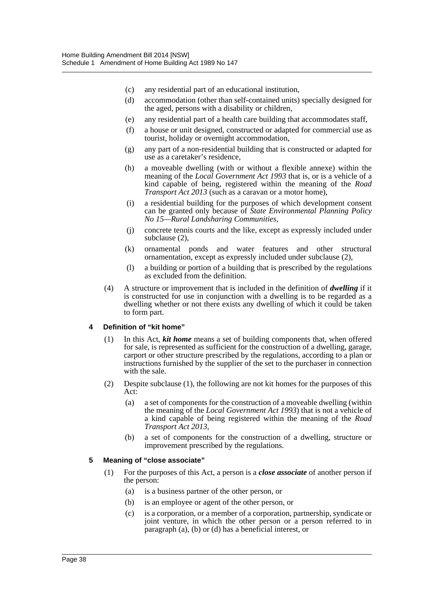- (c) any residential part of an educational institution,
- (d) accommodation (other than self-contained units) specially designed for the aged, persons with a disability or children,
- (e) any residential part of a health care building that accommodates staff,
- (f) a house or unit designed, constructed or adapted for commercial use as tourist, holiday or overnight accommodation,
- (g) any part of a non-residential building that is constructed or adapted for use as a caretaker's residence,
- (h) a moveable dwelling (with or without a flexible annexe) within the meaning of the *Local Government Act 1993* that is, or is a vehicle of a kind capable of being, registered within the meaning of the *Road Transport Act 2013* (such as a caravan or a motor home),
- (i) a residential building for the purposes of which development consent can be granted only because of *State Environmental Planning Policy No 15—Rural Landsharing Communities*,
- (j) concrete tennis courts and the like, except as expressly included under subclause (2),
- (k) ornamental ponds and water features and other structural ornamentation, except as expressly included under subclause (2),
- (l) a building or portion of a building that is prescribed by the regulations as excluded from the definition.
- (4) A structure or improvement that is included in the definition of *dwelling* if it is constructed for use in conjunction with a dwelling is to be regarded as a dwelling whether or not there exists any dwelling of which it could be taken to form part.

#### **4 Definition of "kit home"**

- (1) In this Act, *kit home* means a set of building components that, when offered for sale, is represented as sufficient for the construction of a dwelling, garage, carport or other structure prescribed by the regulations, according to a plan or instructions furnished by the supplier of the set to the purchaser in connection with the sale.
- (2) Despite subclause (1), the following are not kit homes for the purposes of this Act:
	- (a) a set of components for the construction of a moveable dwelling (within the meaning of the *Local Government Act 1993*) that is not a vehicle of a kind capable of being registered within the meaning of the *Road Transport Act 2013*,
	- (b) a set of components for the construction of a dwelling, structure or improvement prescribed by the regulations.

#### **5 Meaning of "close associate"**

- (1) For the purposes of this Act, a person is a *close associate* of another person if the person:
	- (a) is a business partner of the other person, or
	- (b) is an employee or agent of the other person, or
	- (c) is a corporation, or a member of a corporation, partnership, syndicate or joint venture, in which the other person or a person referred to in paragraph (a), (b) or (d) has a beneficial interest, or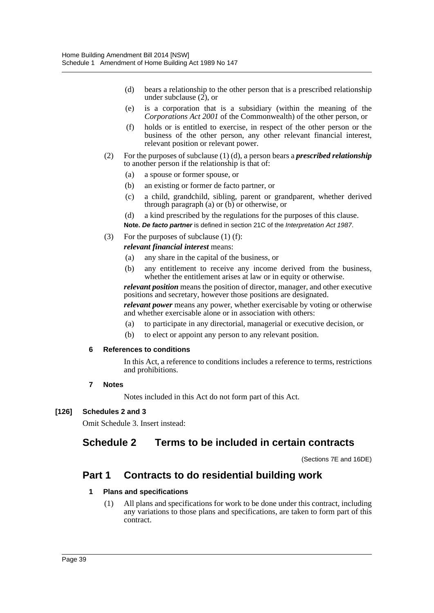- (d) bears a relationship to the other person that is a prescribed relationship under subclause (2), or
- (e) is a corporation that is a subsidiary (within the meaning of the *Corporations Act 2001* of the Commonwealth) of the other person, or
- (f) holds or is entitled to exercise, in respect of the other person or the business of the other person, any other relevant financial interest, relevant position or relevant power.
- (2) For the purposes of subclause (1) (d), a person bears a *prescribed relationship* to another person if the relationship is that of:
	- (a) a spouse or former spouse, or
	- (b) an existing or former de facto partner, or
	- (c) a child, grandchild, sibling, parent or grandparent, whether derived through paragraph (a) or (b) or otherwise, or
	- (d) a kind prescribed by the regulations for the purposes of this clause.
	- **Note.** *De facto partner* is defined in section 21C of the *Interpretation Act 1987*.
- (3) For the purposes of subclause (1) (f):

*relevant financial interest* means:

- (a) any share in the capital of the business, or
- (b) any entitlement to receive any income derived from the business, whether the entitlement arises at law or in equity or otherwise.

*relevant position* means the position of director, manager, and other executive positions and secretary, however those positions are designated.

*relevant power* means any power, whether exercisable by voting or otherwise and whether exercisable alone or in association with others:

- (a) to participate in any directorial, managerial or executive decision, or
- (b) to elect or appoint any person to any relevant position.

#### **6 References to conditions**

In this Act, a reference to conditions includes a reference to terms, restrictions and prohibitions.

#### **7 Notes**

Notes included in this Act do not form part of this Act.

#### **[126] Schedules 2 and 3**

Omit Schedule 3. Insert instead:

# **Schedule 2 Terms to be included in certain contracts**

(Sections 7E and 16DE)

# **Part 1 Contracts to do residential building work**

#### **1 Plans and specifications**

(1) All plans and specifications for work to be done under this contract, including any variations to those plans and specifications, are taken to form part of this contract.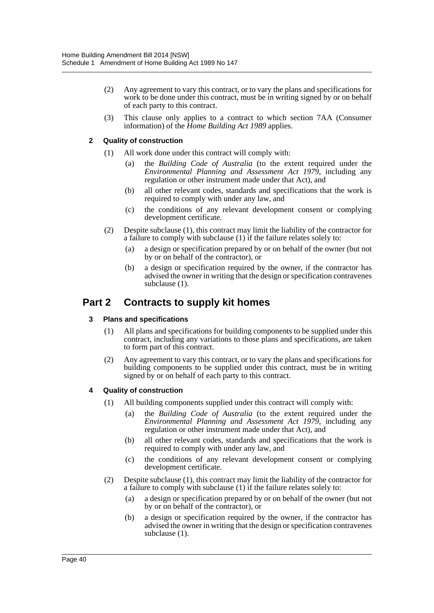- (2) Any agreement to vary this contract, or to vary the plans and specifications for work to be done under this contract, must be in writing signed by or on behalf of each party to this contract.
- (3) This clause only applies to a contract to which section 7AA (Consumer information) of the *Home Building Act 1989* applies.

#### **2 Quality of construction**

- (1) All work done under this contract will comply with:
	- (a) the *Building Code of Australia* (to the extent required under the *Environmental Planning and Assessment Act 1979*, including any regulation or other instrument made under that Act), and
	- (b) all other relevant codes, standards and specifications that the work is required to comply with under any law, and
	- (c) the conditions of any relevant development consent or complying development certificate.
- (2) Despite subclause (1), this contract may limit the liability of the contractor for a failure to comply with subclause (1) if the failure relates solely to:
	- (a) a design or specification prepared by or on behalf of the owner (but not by or on behalf of the contractor), or
	- (b) a design or specification required by the owner, if the contractor has advised the owner in writing that the design or specification contravenes subclause (1).

# **Part 2 Contracts to supply kit homes**

#### **3 Plans and specifications**

- (1) All plans and specifications for building components to be supplied under this contract, including any variations to those plans and specifications, are taken to form part of this contract.
- (2) Any agreement to vary this contract, or to vary the plans and specifications for building components to be supplied under this contract, must be in writing signed by or on behalf of each party to this contract.

#### **4 Quality of construction**

- (1) All building components supplied under this contract will comply with:
	- (a) the *Building Code of Australia* (to the extent required under the *Environmental Planning and Assessment Act 1979*, including any regulation or other instrument made under that Act), and
	- (b) all other relevant codes, standards and specifications that the work is required to comply with under any law, and
	- (c) the conditions of any relevant development consent or complying development certificate.
- (2) Despite subclause (1), this contract may limit the liability of the contractor for a failure to comply with subclause (1) if the failure relates solely to:
	- (a) a design or specification prepared by or on behalf of the owner (but not by or on behalf of the contractor), or
	- (b) a design or specification required by the owner, if the contractor has advised the owner in writing that the design or specification contravenes subclause (1).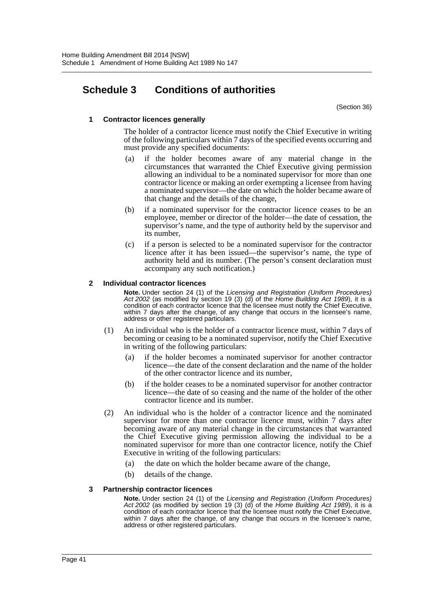# **Schedule 3 Conditions of authorities**

(Section 36)

#### **1 Contractor licences generally**

The holder of a contractor licence must notify the Chief Executive in writing of the following particulars within 7 days of the specified events occurring and must provide any specified documents:

- (a) if the holder becomes aware of any material change in the circumstances that warranted the Chief Executive giving permission allowing an individual to be a nominated supervisor for more than one contractor licence or making an order exempting a licensee from having a nominated supervisor—the date on which the holder became aware of that change and the details of the change,
- (b) if a nominated supervisor for the contractor licence ceases to be an employee, member or director of the holder—the date of cessation, the supervisor's name, and the type of authority held by the supervisor and its number,
- (c) if a person is selected to be a nominated supervisor for the contractor licence after it has been issued—the supervisor's name, the type of authority held and its number. (The person's consent declaration must accompany any such notification.)

#### **2 Individual contractor licences**

**Note.** Under section 24 (1) of the *Licensing and Registration (Uniform Procedures) Act 2002* (as modified by section 19 (3) (d) of the *Home Building Act 1989*), it is a condition of each contractor licence that the licensee must notify the Chief Executive, within 7 days after the change, of any change that occurs in the licensee's name, address or other registered particulars.

- (1) An individual who is the holder of a contractor licence must, within 7 days of becoming or ceasing to be a nominated supervisor, notify the Chief Executive in writing of the following particulars:
	- (a) if the holder becomes a nominated supervisor for another contractor licence—the date of the consent declaration and the name of the holder of the other contractor licence and its number,
	- (b) if the holder ceases to be a nominated supervisor for another contractor licence—the date of so ceasing and the name of the holder of the other contractor licence and its number.
- (2) An individual who is the holder of a contractor licence and the nominated supervisor for more than one contractor licence must, within 7 days after becoming aware of any material change in the circumstances that warranted the Chief Executive giving permission allowing the individual to be a nominated supervisor for more than one contractor licence, notify the Chief Executive in writing of the following particulars:
	- (a) the date on which the holder became aware of the change,
	- (b) details of the change.

#### **3 Partnership contractor licences**

**Note.** Under section 24 (1) of the *Licensing and Registration (Uniform Procedures) Act 2002* (as modified by section 19 (3) (d) of the *Home Building Act 1989*), it is a condition of each contractor licence that the licensee must notify the Chief Executive, within 7 days after the change, of any change that occurs in the licensee's name, address or other registered particulars.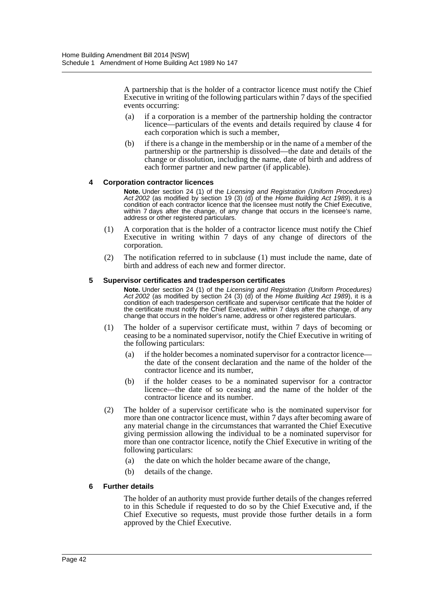A partnership that is the holder of a contractor licence must notify the Chief Executive in writing of the following particulars within 7 days of the specified events occurring:

- (a) if a corporation is a member of the partnership holding the contractor licence—particulars of the events and details required by clause 4 for each corporation which is such a member,
- (b) if there is a change in the membership or in the name of a member of the partnership or the partnership is dissolved—the date and details of the change or dissolution, including the name, date of birth and address of each former partner and new partner (if applicable).

#### **4 Corporation contractor licences**

**Note.** Under section 24 (1) of the *Licensing and Registration (Uniform Procedures) Act 2002* (as modified by section 19 (3) (d) of the *Home Building Act 1989*), it is a condition of each contractor licence that the licensee must notify the Chief Executive, within 7 days after the change, of any change that occurs in the licensee's name, address or other registered particulars.

- (1) A corporation that is the holder of a contractor licence must notify the Chief Executive in writing within 7 days of any change of directors of the corporation.
- (2) The notification referred to in subclause (1) must include the name, date of birth and address of each new and former director.

#### **5 Supervisor certificates and tradesperson certificates**

**Note.** Under section 24 (1) of the *Licensing and Registration (Uniform Procedures) Act 2002* (as modified by section 24 (3) (d) of the *Home Building Act 1989*), it is a condition of each tradesperson certificate and supervisor certificate that the holder of the certificate must notify the Chief Executive, within 7 days after the change, of any change that occurs in the holder's name, address or other registered particulars.

- (1) The holder of a supervisor certificate must, within 7 days of becoming or ceasing to be a nominated supervisor, notify the Chief Executive in writing of the following particulars:
	- (a) if the holder becomes a nominated supervisor for a contractor licence the date of the consent declaration and the name of the holder of the contractor licence and its number,
	- (b) if the holder ceases to be a nominated supervisor for a contractor licence—the date of so ceasing and the name of the holder of the contractor licence and its number.
- (2) The holder of a supervisor certificate who is the nominated supervisor for more than one contractor licence must, within 7 days after becoming aware of any material change in the circumstances that warranted the Chief Executive giving permission allowing the individual to be a nominated supervisor for more than one contractor licence, notify the Chief Executive in writing of the following particulars:
	- (a) the date on which the holder became aware of the change,
	- (b) details of the change.

#### **6 Further details**

The holder of an authority must provide further details of the changes referred to in this Schedule if requested to do so by the Chief Executive and, if the Chief Executive so requests, must provide those further details in a form approved by the Chief Executive.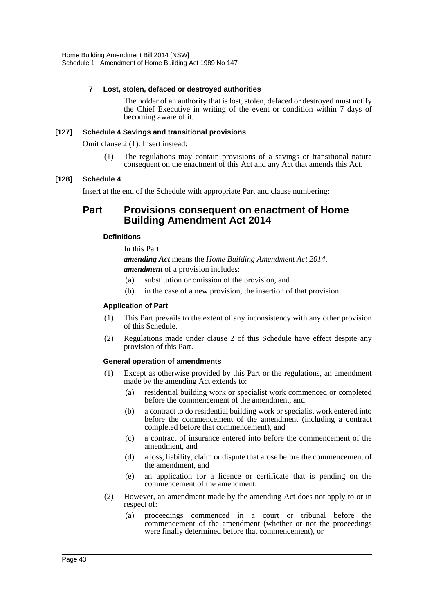#### **7 Lost, stolen, defaced or destroyed authorities**

The holder of an authority that is lost, stolen, defaced or destroyed must notify the Chief Executive in writing of the event or condition within 7 days of becoming aware of it.

#### **[127] Schedule 4 Savings and transitional provisions**

Omit clause 2 (1). Insert instead:

(1) The regulations may contain provisions of a savings or transitional nature consequent on the enactment of this Act and any Act that amends this Act.

#### **[128] Schedule 4**

Insert at the end of the Schedule with appropriate Part and clause numbering:

# **Part Provisions consequent on enactment of Home Building Amendment Act 2014**

#### **Definitions**

In this Part: *amending Act* means the *Home Building Amendment Act 2014*. *amendment* of a provision includes:

- (a) substitution or omission of the provision, and
- (b) in the case of a new provision, the insertion of that provision.

#### **Application of Part**

- (1) This Part prevails to the extent of any inconsistency with any other provision of this Schedule.
- (2) Regulations made under clause 2 of this Schedule have effect despite any provision of this Part.

#### **General operation of amendments**

- (1) Except as otherwise provided by this Part or the regulations, an amendment made by the amending Act extends to:
	- (a) residential building work or specialist work commenced or completed before the commencement of the amendment, and
	- (b) a contract to do residential building work or specialist work entered into before the commencement of the amendment (including a contract completed before that commencement), and
	- (c) a contract of insurance entered into before the commencement of the amendment, and
	- (d) a loss, liability, claim or dispute that arose before the commencement of the amendment, and
	- (e) an application for a licence or certificate that is pending on the commencement of the amendment.
- (2) However, an amendment made by the amending Act does not apply to or in respect of:
	- (a) proceedings commenced in a court or tribunal before the commencement of the amendment (whether or not the proceedings were finally determined before that commencement), or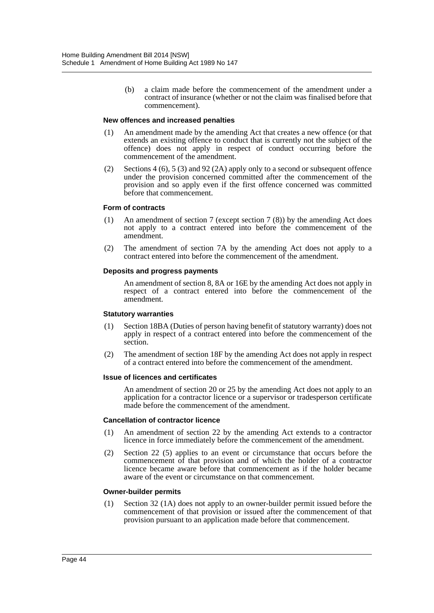(b) a claim made before the commencement of the amendment under a contract of insurance (whether or not the claim was finalised before that commencement).

#### **New offences and increased penalties**

- (1) An amendment made by the amending Act that creates a new offence (or that extends an existing offence to conduct that is currently not the subject of the offence) does not apply in respect of conduct occurring before the commencement of the amendment.
- (2) Sections 4 (6), 5 (3) and 92 (2A) apply only to a second or subsequent offence under the provision concerned committed after the commencement of the provision and so apply even if the first offence concerned was committed before that commencement.

#### **Form of contracts**

- (1) An amendment of section 7 (except section 7 (8)) by the amending Act does not apply to a contract entered into before the commencement of the amendment.
- (2) The amendment of section 7A by the amending Act does not apply to a contract entered into before the commencement of the amendment.

#### **Deposits and progress payments**

An amendment of section 8, 8A or 16E by the amending Act does not apply in respect of a contract entered into before the commencement of the amendment.

#### **Statutory warranties**

- (1) Section 18BA (Duties of person having benefit of statutory warranty) does not apply in respect of a contract entered into before the commencement of the section.
- (2) The amendment of section 18F by the amending Act does not apply in respect of a contract entered into before the commencement of the amendment.

#### **Issue of licences and certificates**

An amendment of section 20 or 25 by the amending Act does not apply to an application for a contractor licence or a supervisor or tradesperson certificate made before the commencement of the amendment.

#### **Cancellation of contractor licence**

- (1) An amendment of section 22 by the amending Act extends to a contractor licence in force immediately before the commencement of the amendment.
- (2) Section 22 (5) applies to an event or circumstance that occurs before the commencement of that provision and of which the holder of a contractor licence became aware before that commencement as if the holder became aware of the event or circumstance on that commencement.

#### **Owner-builder permits**

(1) Section 32 (1A) does not apply to an owner-builder permit issued before the commencement of that provision or issued after the commencement of that provision pursuant to an application made before that commencement.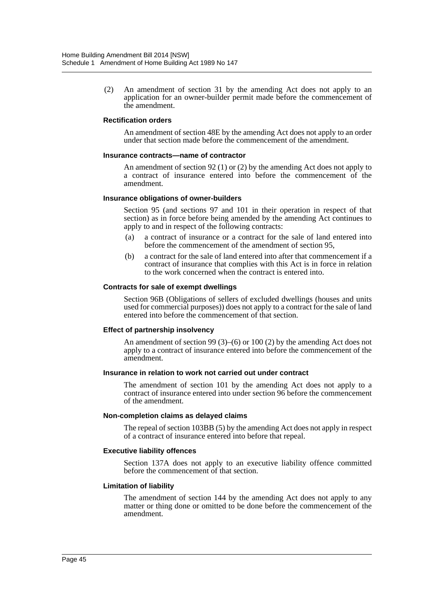(2) An amendment of section 31 by the amending Act does not apply to an application for an owner-builder permit made before the commencement of the amendment.

#### **Rectification orders**

An amendment of section 48E by the amending Act does not apply to an order under that section made before the commencement of the amendment.

#### **Insurance contracts—name of contractor**

An amendment of section 92 (1) or (2) by the amending Act does not apply to a contract of insurance entered into before the commencement of the amendment.

#### **Insurance obligations of owner-builders**

Section 95 (and sections 97 and 101 in their operation in respect of that section) as in force before being amended by the amending Act continues to apply to and in respect of the following contracts:

- (a) a contract of insurance or a contract for the sale of land entered into before the commencement of the amendment of section 95,
- (b) a contract for the sale of land entered into after that commencement if a contract of insurance that complies with this Act is in force in relation to the work concerned when the contract is entered into.

#### **Contracts for sale of exempt dwellings**

Section 96B (Obligations of sellers of excluded dwellings (houses and units used for commercial purposes)) does not apply to a contract for the sale of land entered into before the commencement of that section.

#### **Effect of partnership insolvency**

An amendment of section 99 (3)–(6) or 100 (2) by the amending Act does not apply to a contract of insurance entered into before the commencement of the amendment.

#### **Insurance in relation to work not carried out under contract**

The amendment of section 101 by the amending Act does not apply to a contract of insurance entered into under section 96 before the commencement of the amendment.

#### **Non-completion claims as delayed claims**

The repeal of section 103BB (5) by the amending Act does not apply in respect of a contract of insurance entered into before that repeal.

#### **Executive liability offences**

Section 137A does not apply to an executive liability offence committed before the commencement of that section.

#### **Limitation of liability**

The amendment of section 144 by the amending Act does not apply to any matter or thing done or omitted to be done before the commencement of the amendment.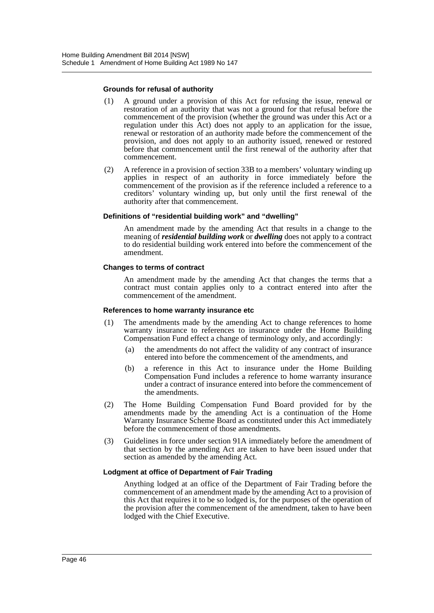#### **Grounds for refusal of authority**

- (1) A ground under a provision of this Act for refusing the issue, renewal or restoration of an authority that was not a ground for that refusal before the commencement of the provision (whether the ground was under this Act or a regulation under this Act) does not apply to an application for the issue, renewal or restoration of an authority made before the commencement of the provision, and does not apply to an authority issued, renewed or restored before that commencement until the first renewal of the authority after that commencement.
- (2) A reference in a provision of section 33B to a members' voluntary winding up applies in respect of an authority in force immediately before the commencement of the provision as if the reference included a reference to a creditors' voluntary winding up, but only until the first renewal of the authority after that commencement.

#### **Definitions of "residential building work" and "dwelling"**

An amendment made by the amending Act that results in a change to the meaning of *residential building work* or *dwelling* does not apply to a contract to do residential building work entered into before the commencement of the amendment.

#### **Changes to terms of contract**

An amendment made by the amending Act that changes the terms that a contract must contain applies only to a contract entered into after the commencement of the amendment.

#### **References to home warranty insurance etc**

- (1) The amendments made by the amending Act to change references to home warranty insurance to references to insurance under the Home Building Compensation Fund effect a change of terminology only, and accordingly:
	- (a) the amendments do not affect the validity of any contract of insurance entered into before the commencement of the amendments, and
	- (b) a reference in this Act to insurance under the Home Building Compensation Fund includes a reference to home warranty insurance under a contract of insurance entered into before the commencement of the amendments.
- (2) The Home Building Compensation Fund Board provided for by the amendments made by the amending Act is a continuation of the Home Warranty Insurance Scheme Board as constituted under this Act immediately before the commencement of those amendments.
- (3) Guidelines in force under section 91A immediately before the amendment of that section by the amending Act are taken to have been issued under that section as amended by the amending Act.

#### **Lodgment at office of Department of Fair Trading**

Anything lodged at an office of the Department of Fair Trading before the commencement of an amendment made by the amending Act to a provision of this Act that requires it to be so lodged is, for the purposes of the operation of the provision after the commencement of the amendment, taken to have been lodged with the Chief Executive.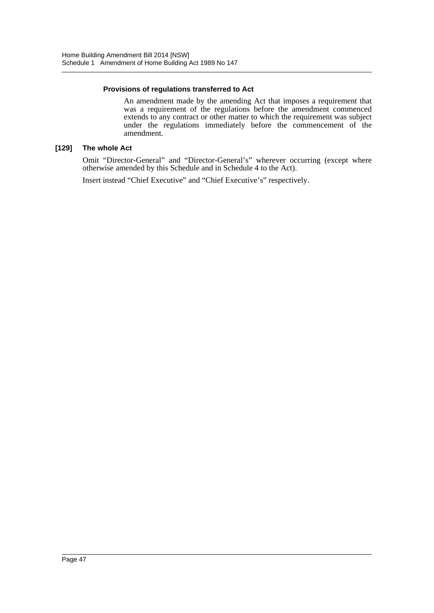#### **Provisions of regulations transferred to Act**

An amendment made by the amending Act that imposes a requirement that was a requirement of the regulations before the amendment commenced extends to any contract or other matter to which the requirement was subject under the regulations immediately before the commencement of the amendment.

#### **[129] The whole Act**

Omit "Director-General" and "Director-General's" wherever occurring (except where otherwise amended by this Schedule and in Schedule 4 to the Act).

Insert instead "Chief Executive" and "Chief Executive's" respectively.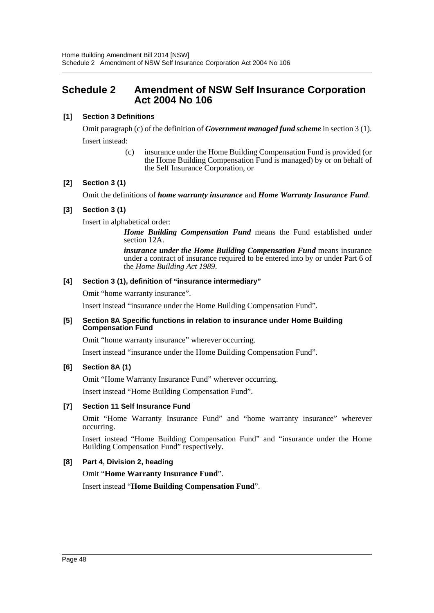# <span id="page-48-0"></span>**Schedule 2 Amendment of NSW Self Insurance Corporation Act 2004 No 106**

#### **[1] Section 3 Definitions**

Omit paragraph (c) of the definition of *Government managed fund scheme* in section 3 (1). Insert instead:

> (c) insurance under the Home Building Compensation Fund is provided (or the Home Building Compensation Fund is managed) by or on behalf of the Self Insurance Corporation, or

#### **[2] Section 3 (1)**

Omit the definitions of *home warranty insurance* and *Home Warranty Insurance Fund*.

#### **[3] Section 3 (1)**

Insert in alphabetical order:

*Home Building Compensation Fund* means the Fund established under section 12A.

*insurance under the Home Building Compensation Fund* means insurance under a contract of insurance required to be entered into by or under Part 6 of the *Home Building Act 1989*.

#### **[4] Section 3 (1), definition of "insurance intermediary"**

Omit "home warranty insurance".

Insert instead "insurance under the Home Building Compensation Fund".

#### **[5] Section 8A Specific functions in relation to insurance under Home Building Compensation Fund**

Omit "home warranty insurance" wherever occurring.

Insert instead "insurance under the Home Building Compensation Fund".

#### **[6] Section 8A (1)**

Omit "Home Warranty Insurance Fund" wherever occurring.

Insert instead "Home Building Compensation Fund".

#### **[7] Section 11 Self Insurance Fund**

Omit "Home Warranty Insurance Fund" and "home warranty insurance" wherever occurring.

Insert instead "Home Building Compensation Fund" and "insurance under the Home Building Compensation Fund" respectively.

#### **[8] Part 4, Division 2, heading**

Omit "**Home Warranty Insurance Fund**".

Insert instead "**Home Building Compensation Fund**".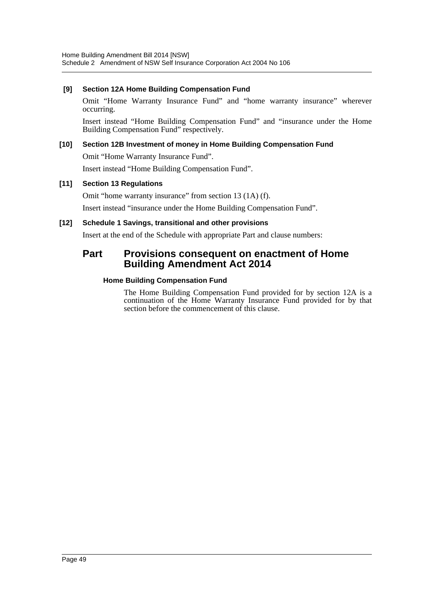#### **[9] Section 12A Home Building Compensation Fund**

Omit "Home Warranty Insurance Fund" and "home warranty insurance" wherever occurring.

Insert instead "Home Building Compensation Fund" and "insurance under the Home Building Compensation Fund" respectively.

#### **[10] Section 12B Investment of money in Home Building Compensation Fund**

Omit "Home Warranty Insurance Fund".

Insert instead "Home Building Compensation Fund".

#### **[11] Section 13 Regulations**

Omit "home warranty insurance" from section 13 (1A) (f).

Insert instead "insurance under the Home Building Compensation Fund".

#### **[12] Schedule 1 Savings, transitional and other provisions**

Insert at the end of the Schedule with appropriate Part and clause numbers:

# **Part Provisions consequent on enactment of Home Building Amendment Act 2014**

#### **Home Building Compensation Fund**

The Home Building Compensation Fund provided for by section 12A is a continuation of the Home Warranty Insurance Fund provided for by that section before the commencement of this clause.